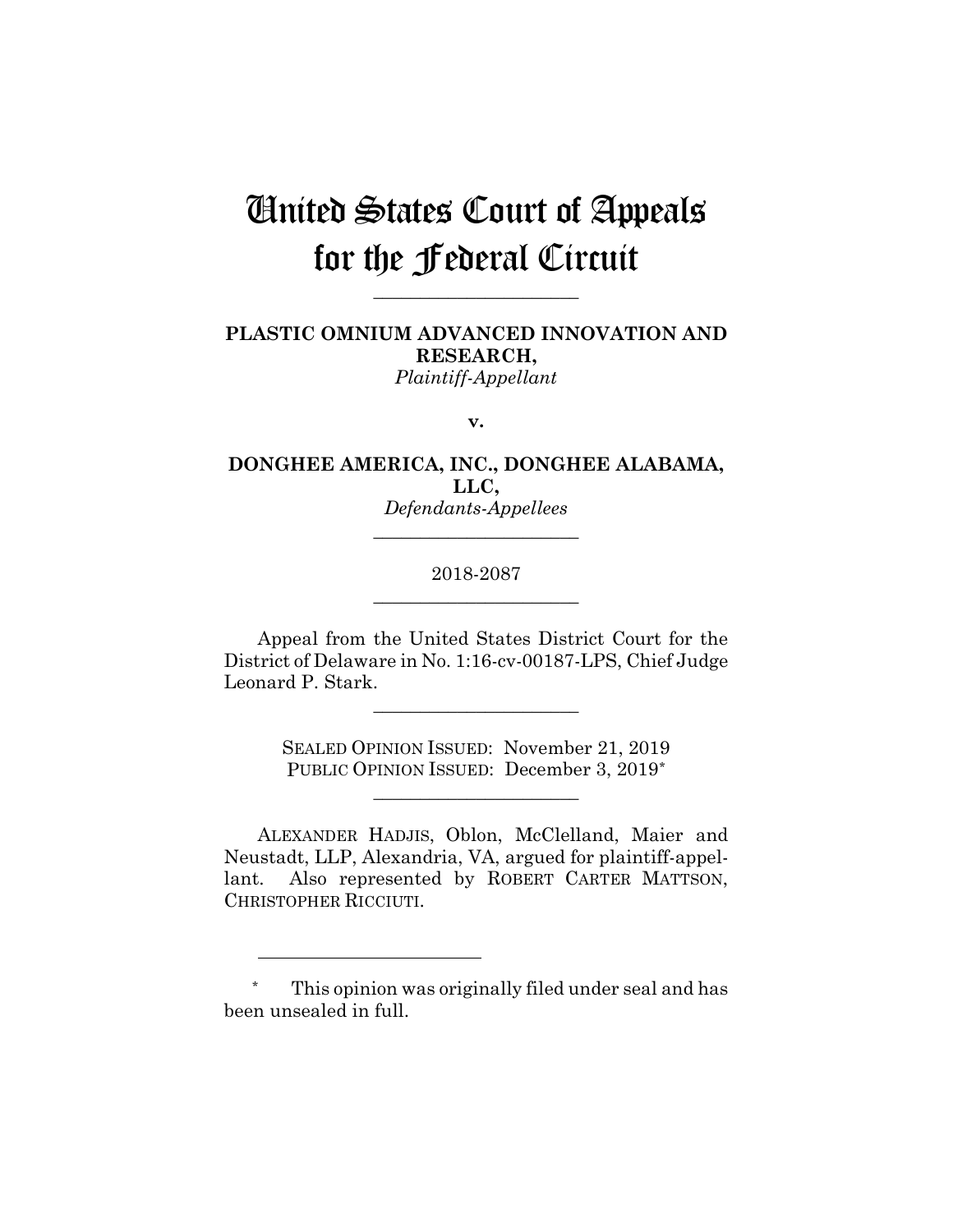# United States Court of Appeals for the Federal Circuit

**\_\_\_\_\_\_\_\_\_\_\_\_\_\_\_\_\_\_\_\_\_\_**

**PLASTIC OMNIUM ADVANCED INNOVATION AND RESEARCH,** *Plaintiff-Appellant*

**v.**

**DONGHEE AMERICA, INC., DONGHEE ALABAMA, LLC,** *Defendants-Appellees*

**\_\_\_\_\_\_\_\_\_\_\_\_\_\_\_\_\_\_\_\_\_\_**

# 2018-2087 **\_\_\_\_\_\_\_\_\_\_\_\_\_\_\_\_\_\_\_\_\_\_**

Appeal from the United States District Court for the District of Delaware in No. 1:16-cv-00187-LPS, Chief Judge Leonard P. Stark.

**\_\_\_\_\_\_\_\_\_\_\_\_\_\_\_\_\_\_\_\_\_\_**

SEALED OPINION ISSUED: November 21, 2019 PUBLIC OPINION ISSUED: December 3, 2019\*

**\_\_\_\_\_\_\_\_\_\_\_\_\_\_\_\_\_\_\_\_\_\_**

ALEXANDER HADJIS, Oblon, McClelland, Maier and Neustadt, LLP, Alexandria, VA, argued for plaintiff-appellant. Also represented by ROBERT CARTER MATTSON, CHRISTOPHER RICCIUTI.

1

This opinion was originally filed under seal and has been unsealed in full.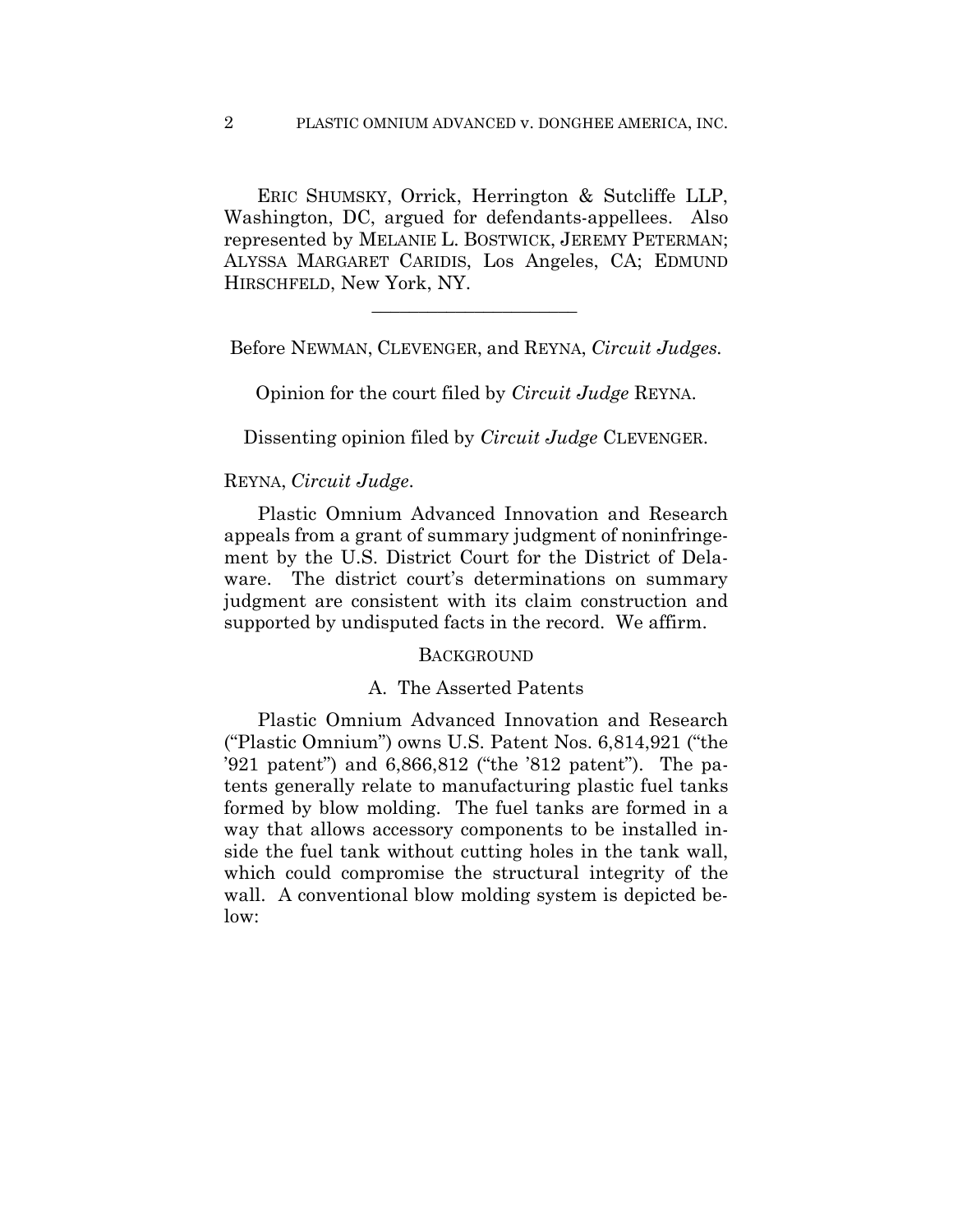ERIC SHUMSKY, Orrick, Herrington & Sutcliffe LLP, Washington, DC, argued for defendants-appellees. Also represented by MELANIE L. BOSTWICK, JEREMY PETERMAN; ALYSSA MARGARET CARIDIS, Los Angeles, CA; EDMUND HIRSCHFELD, New York, NY.

Before NEWMAN, CLEVENGER, and REYNA, *Circuit Judges.*

 $\mathcal{L}_\text{max}$  and  $\mathcal{L}_\text{max}$  and  $\mathcal{L}_\text{max}$  and  $\mathcal{L}_\text{max}$ 

Opinion for the court filed by *Circuit Judge* REYNA.

Dissenting opinion filed by *Circuit Judge* CLEVENGER.

## REYNA, *Circuit Judge*.

Plastic Omnium Advanced Innovation and Research appeals from a grant of summary judgment of noninfringement by the U.S. District Court for the District of Delaware. The district court's determinations on summary judgment are consistent with its claim construction and supported by undisputed facts in the record. We affirm.

#### **BACKGROUND**

#### A. The Asserted Patents

Plastic Omnium Advanced Innovation and Research ("Plastic Omnium") owns U.S. Patent Nos. 6,814,921 ("the '921 patent") and 6,866,812 ("the '812 patent"). The patents generally relate to manufacturing plastic fuel tanks formed by blow molding. The fuel tanks are formed in a way that allows accessory components to be installed inside the fuel tank without cutting holes in the tank wall, which could compromise the structural integrity of the wall. A conventional blow molding system is depicted below: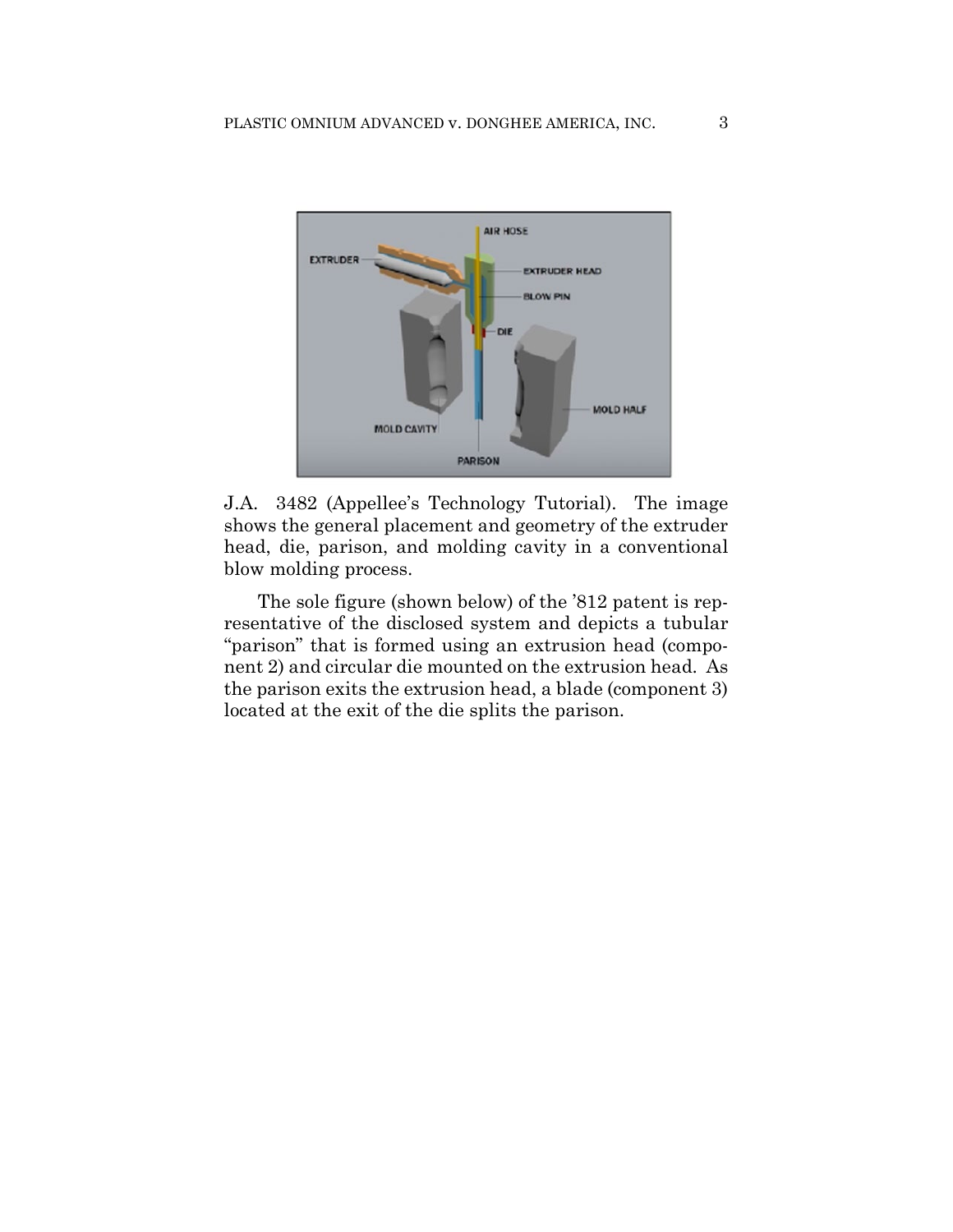

J.A. 3482 (Appellee's Technology Tutorial). The image shows the general placement and geometry of the extruder head, die, parison, and molding cavity in a conventional blow molding process.

The sole figure (shown below) of the '812 patent is representative of the disclosed system and depicts a tubular "parison" that is formed using an extrusion head (component 2) and circular die mounted on the extrusion head. As the parison exits the extrusion head, a blade (component 3) located at the exit of the die splits the parison.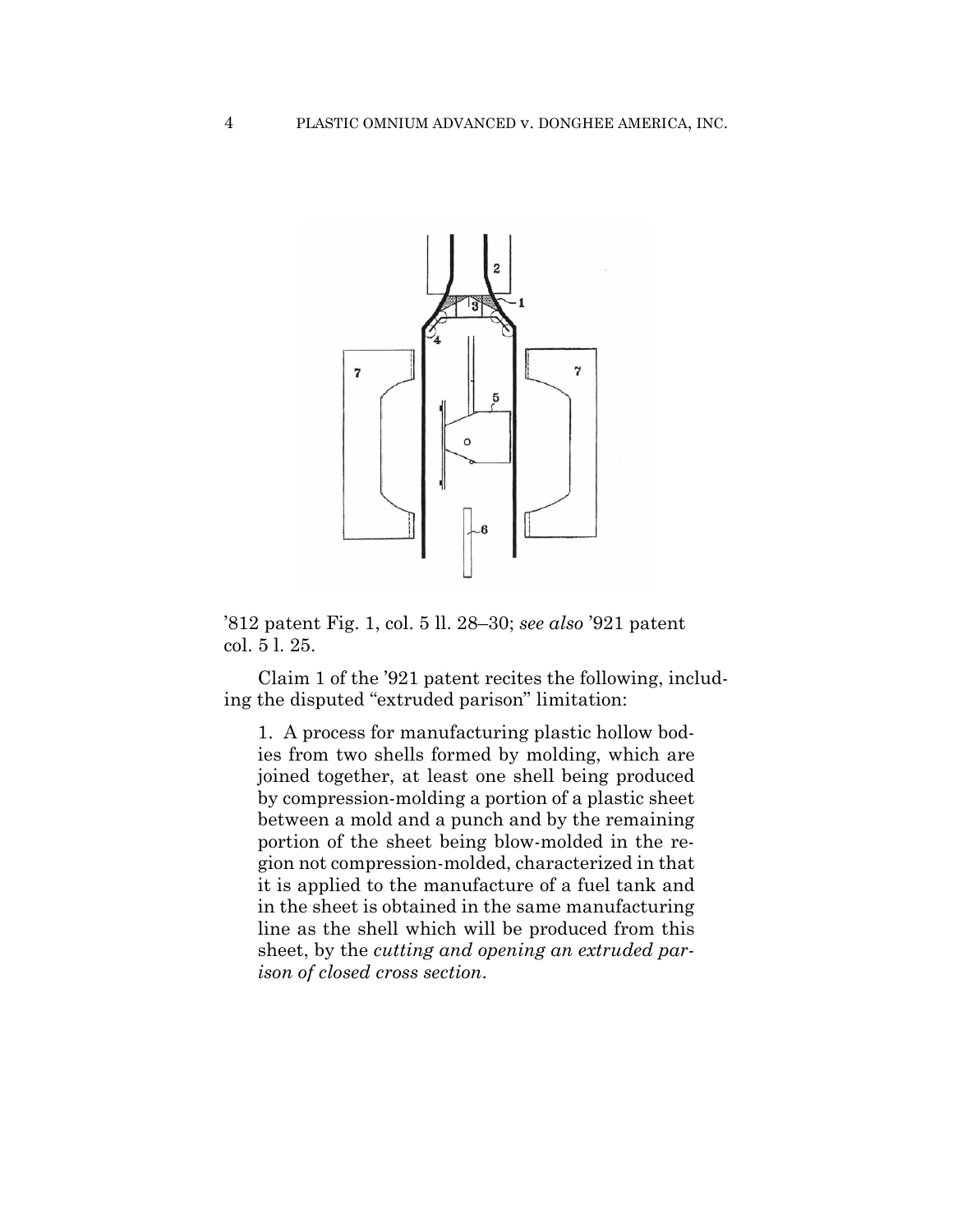

'812 patent Fig. 1, col. 5 ll. 28–30; *see also* '921 patent col. 5 l. 25.

Claim 1 of the '921 patent recites the following, including the disputed "extruded parison" limitation:

1. A process for manufacturing plastic hollow bodies from two shells formed by molding, which are joined together, at least one shell being produced by compression-molding a portion of a plastic sheet between a mold and a punch and by the remaining portion of the sheet being blow-molded in the region not compression-molded, characterized in that it is applied to the manufacture of a fuel tank and in the sheet is obtained in the same manufacturing line as the shell which will be produced from this sheet, by the *cutting and opening an extruded parison of closed cross section*.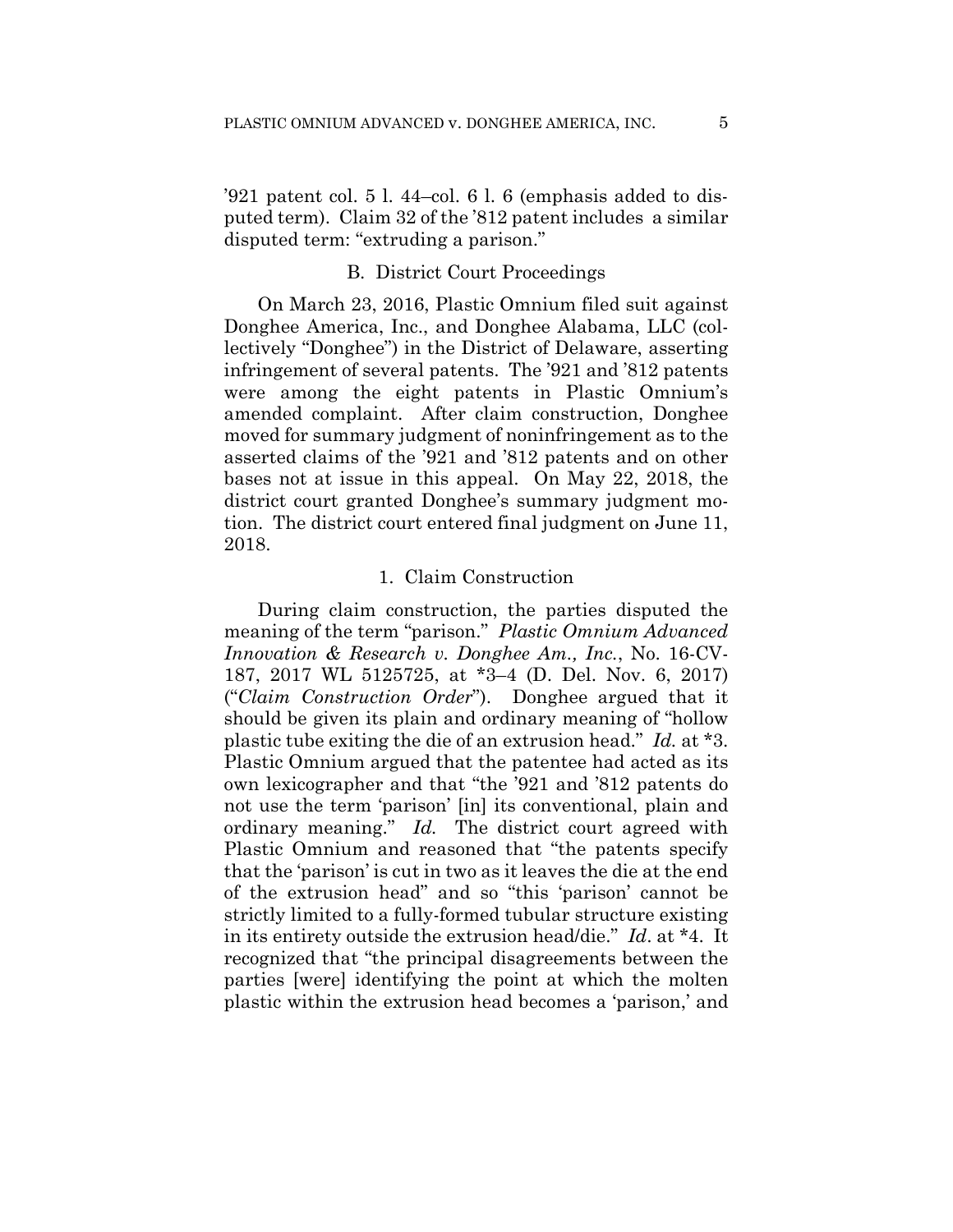'921 patent col. 5 l. 44–col. 6 l. 6 (emphasis added to disputed term). Claim 32 of the '812 patent includes a similar disputed term: "extruding a parison."

## B. District Court Proceedings

On March 23, 2016, Plastic Omnium filed suit against Donghee America, Inc., and Donghee Alabama, LLC (collectively "Donghee") in the District of Delaware, asserting infringement of several patents. The '921 and '812 patents were among the eight patents in Plastic Omnium's amended complaint. After claim construction, Donghee moved for summary judgment of noninfringement as to the asserted claims of the '921 and '812 patents and on other bases not at issue in this appeal. On May 22, 2018, the district court granted Donghee's summary judgment motion. The district court entered final judgment on June 11, 2018.

#### 1. Claim Construction

During claim construction, the parties disputed the meaning of the term "parison." *Plastic Omnium Advanced Innovation & Research v. Donghee Am., Inc.*, No. 16-CV-187, 2017 WL 5125725, at \*3–4 (D. Del. Nov. 6, 2017) ("*Claim Construction Order*"). Donghee argued that it should be given its plain and ordinary meaning of "hollow plastic tube exiting the die of an extrusion head." *Id.* at \*3. Plastic Omnium argued that the patentee had acted as its own lexicographer and that "the '921 and '812 patents do not use the term 'parison' [in] its conventional, plain and ordinary meaning." *Id.* The district court agreed with Plastic Omnium and reasoned that "the patents specify that the 'parison' is cut in two as it leaves the die at the end of the extrusion head" and so "this 'parison' cannot be strictly limited to a fully-formed tubular structure existing in its entirety outside the extrusion head/die." *Id*. at \*4. It recognized that "the principal disagreements between the parties [were] identifying the point at which the molten plastic within the extrusion head becomes a 'parison,' and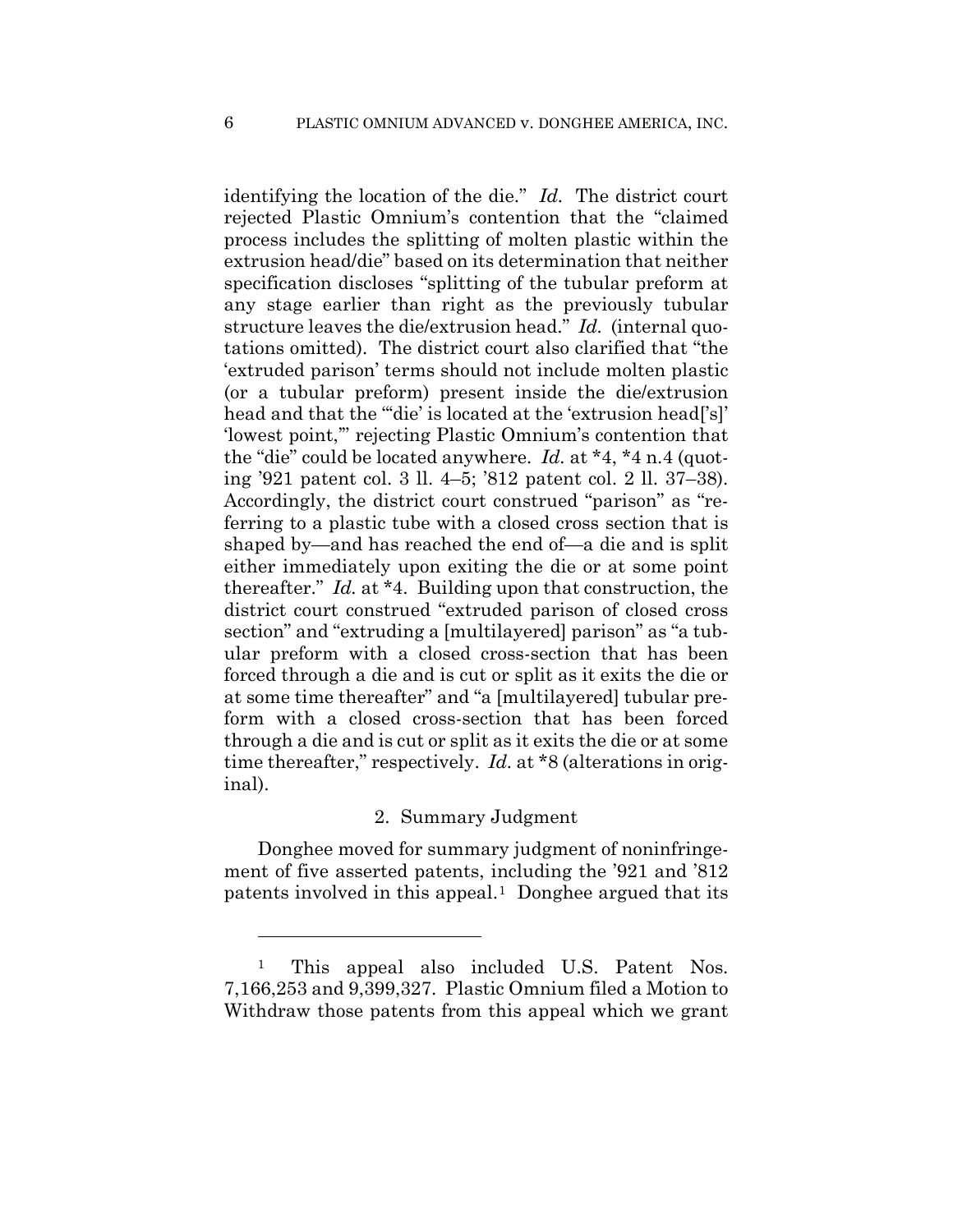identifying the location of the die." *Id.* The district court rejected Plastic Omnium's contention that the "claimed process includes the splitting of molten plastic within the extrusion head/die" based on its determination that neither specification discloses "splitting of the tubular preform at any stage earlier than right as the previously tubular structure leaves the die/extrusion head." *Id.* (internal quotations omitted). The district court also clarified that "the 'extruded parison' terms should not include molten plastic (or a tubular preform) present inside the die/extrusion head and that the ""die' is located at the 'extrusion head" s 'lowest point,'" rejecting Plastic Omnium's contention that the "die" could be located anywhere. *Id.* at \*4, \*4 n.4 (quoting '921 patent col. 3 ll. 4–5; '812 patent col. 2 ll. 37–38). Accordingly, the district court construed "parison" as "referring to a plastic tube with a closed cross section that is shaped by—and has reached the end of—a die and is split either immediately upon exiting the die or at some point thereafter." *Id.* at \*4. Building upon that construction, the district court construed "extruded parison of closed cross section" and "extruding a [multilayered] parison" as "a tubular preform with a closed cross-section that has been forced through a die and is cut or split as it exits the die or at some time thereafter" and "a [multilayered] tubular preform with a closed cross-section that has been forced through a die and is cut or split as it exits the die or at some time thereafter," respectively. *Id.* at \*8 (alterations in original).

#### 2. Summary Judgment

Donghee moved for summary judgment of noninfringement of five asserted patents, including the '921 and '812 patents involved in this appeal.1 Donghee argued that its

1

<sup>1</sup> This appeal also included U.S. Patent Nos. 7,166,253 and 9,399,327. Plastic Omnium filed a Motion to Withdraw those patents from this appeal which we grant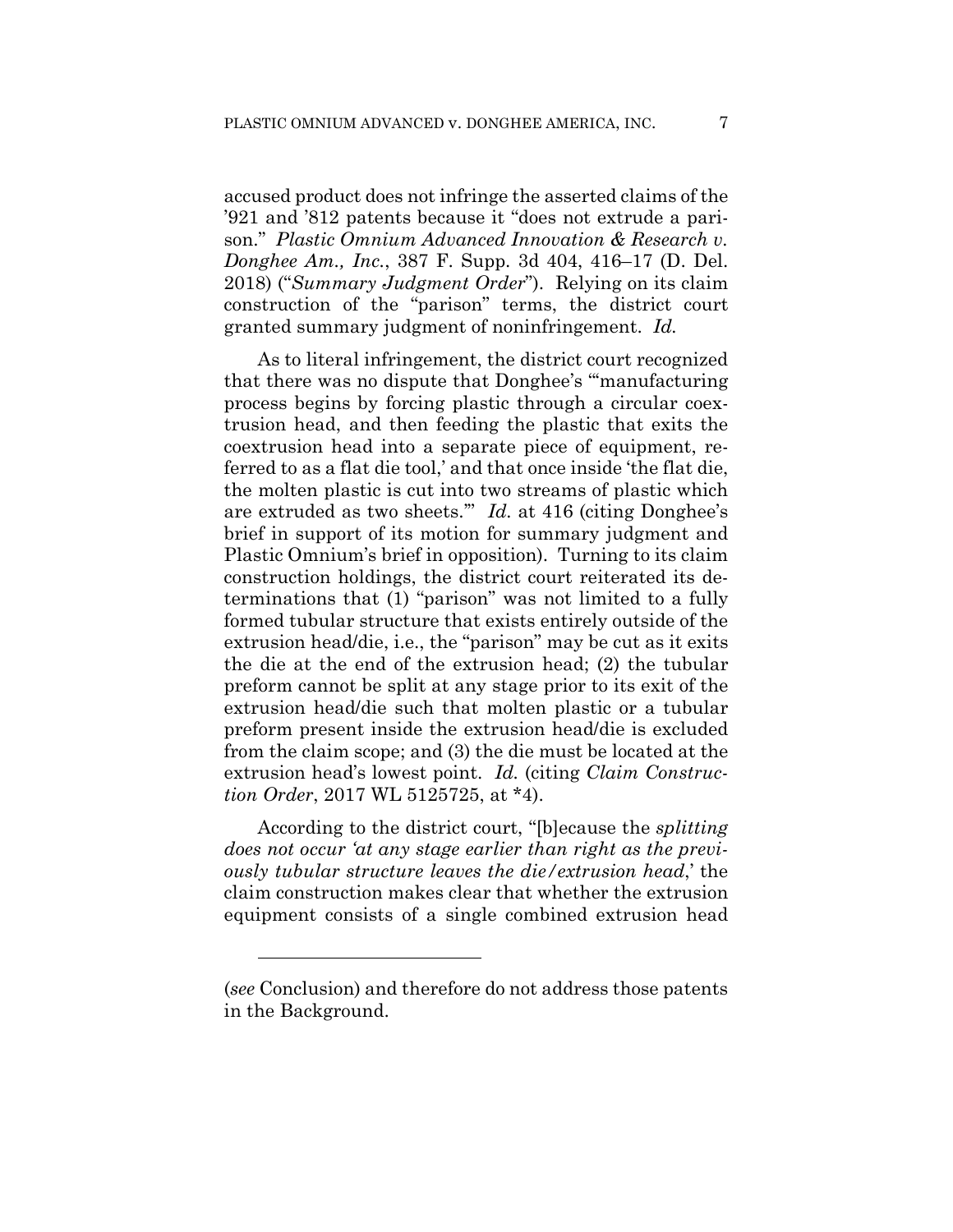accused product does not infringe the asserted claims of the '921 and '812 patents because it "does not extrude a parison." *Plastic Omnium Advanced Innovation & Research v. Donghee Am., Inc.*, 387 F. Supp. 3d 404, 416–17 (D. Del. 2018) ("*Summary Judgment Order*"). Relying on its claim construction of the "parison" terms, the district court granted summary judgment of noninfringement. *Id.*

As to literal infringement, the district court recognized that there was no dispute that Donghee's "'manufacturing process begins by forcing plastic through a circular coextrusion head, and then feeding the plastic that exits the coextrusion head into a separate piece of equipment, referred to as a flat die tool,' and that once inside 'the flat die, the molten plastic is cut into two streams of plastic which are extruded as two sheets.'" *Id.* at 416 (citing Donghee's brief in support of its motion for summary judgment and Plastic Omnium's brief in opposition). Turning to its claim construction holdings, the district court reiterated its determinations that (1) "parison" was not limited to a fully formed tubular structure that exists entirely outside of the extrusion head/die, i.e., the "parison" may be cut as it exits the die at the end of the extrusion head; (2) the tubular preform cannot be split at any stage prior to its exit of the extrusion head/die such that molten plastic or a tubular preform present inside the extrusion head/die is excluded from the claim scope; and (3) the die must be located at the extrusion head's lowest point. *Id.* (citing *Claim Construction Order*, 2017 WL 5125725, at \*4).

According to the district court, "[b]ecause the *splitting does not occur 'at any stage earlier than right as the previously tubular structure leaves the die/extrusion head*,' the claim construction makes clear that whether the extrusion equipment consists of a single combined extrusion head

1

<sup>(</sup>*see* Conclusion) and therefore do not address those patents in the Background.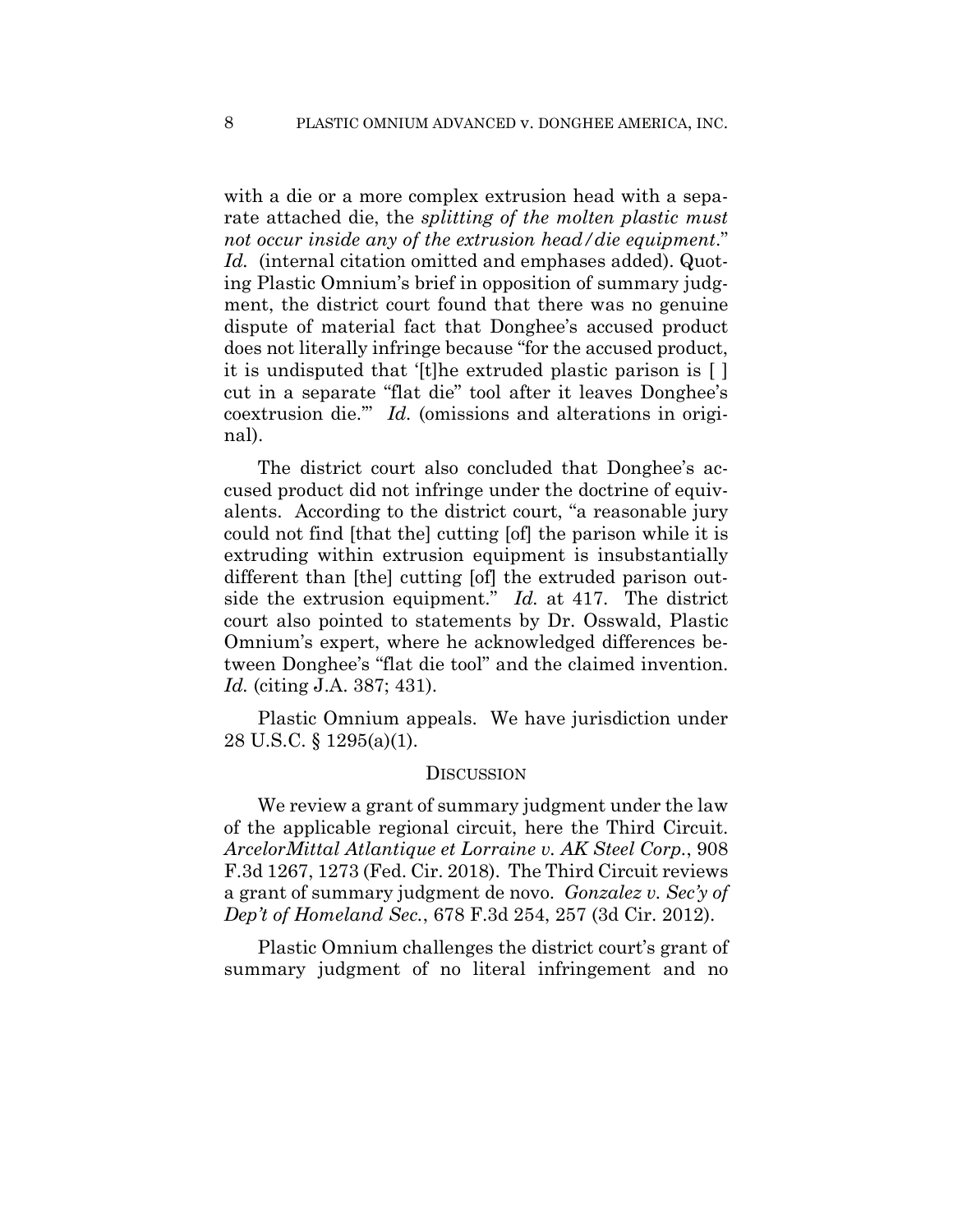with a die or a more complex extrusion head with a separate attached die, the *splitting of the molten plastic must not occur inside any of the extrusion head/die equipment*." *Id.* (internal citation omitted and emphases added). Quoting Plastic Omnium's brief in opposition of summary judgment, the district court found that there was no genuine dispute of material fact that Donghee's accused product does not literally infringe because "for the accused product, it is undisputed that '[t]he extruded plastic parison is [ ] cut in a separate "flat die" tool after it leaves Donghee's coextrusion die.'" *Id.* (omissions and alterations in original).

The district court also concluded that Donghee's accused product did not infringe under the doctrine of equivalents. According to the district court, "a reasonable jury could not find [that the] cutting [of] the parison while it is extruding within extrusion equipment is insubstantially different than [the] cutting [of] the extruded parison outside the extrusion equipment." *Id.* at 417. The district court also pointed to statements by Dr. Osswald, Plastic Omnium's expert, where he acknowledged differences between Donghee's "flat die tool" and the claimed invention. *Id.* (citing J.A. 387; 431).

Plastic Omnium appeals. We have jurisdiction under 28 U.S.C. § 1295(a)(1).

#### **DISCUSSION**

We review a grant of summary judgment under the law of the applicable regional circuit, here the Third Circuit. *ArcelorMittal Atlantique et Lorraine v. AK Steel Corp.*, 908 F.3d 1267, 1273 (Fed. Cir. 2018). The Third Circuit reviews a grant of summary judgment de novo. *Gonzalez v. Sec'y of Dep't of Homeland Sec.*, 678 F.3d 254, 257 (3d Cir. 2012).

Plastic Omnium challenges the district court's grant of summary judgment of no literal infringement and no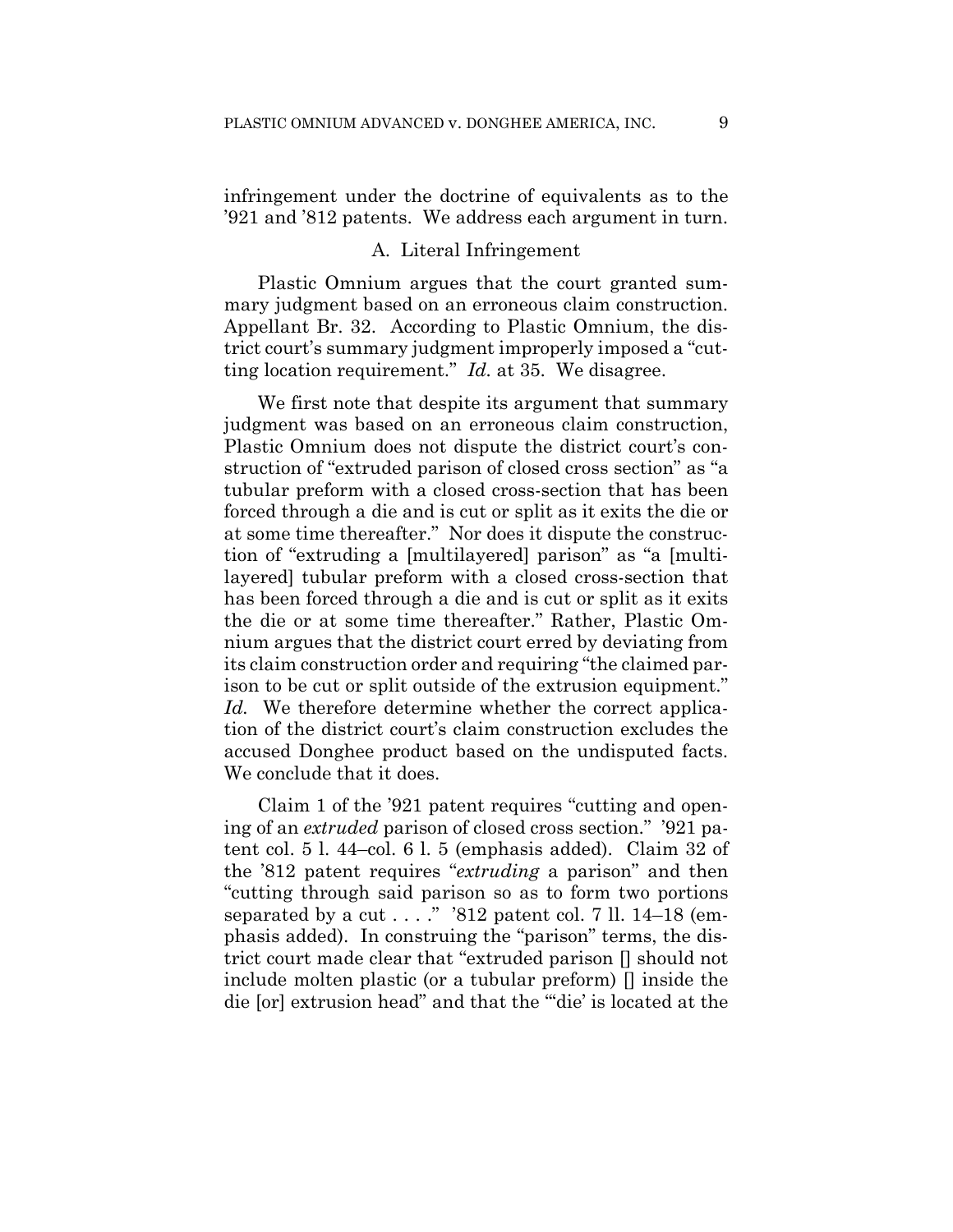infringement under the doctrine of equivalents as to the '921 and '812 patents. We address each argument in turn.

#### A. Literal Infringement

Plastic Omnium argues that the court granted summary judgment based on an erroneous claim construction. Appellant Br. 32. According to Plastic Omnium, the district court's summary judgment improperly imposed a "cutting location requirement." *Id.* at 35. We disagree.

We first note that despite its argument that summary judgment was based on an erroneous claim construction, Plastic Omnium does not dispute the district court's construction of "extruded parison of closed cross section" as "a tubular preform with a closed cross-section that has been forced through a die and is cut or split as it exits the die or at some time thereafter." Nor does it dispute the construction of "extruding a [multilayered] parison" as "a [multilayered] tubular preform with a closed cross-section that has been forced through a die and is cut or split as it exits the die or at some time thereafter." Rather, Plastic Omnium argues that the district court erred by deviating from its claim construction order and requiring "the claimed parison to be cut or split outside of the extrusion equipment." *Id.* We therefore determine whether the correct application of the district court's claim construction excludes the accused Donghee product based on the undisputed facts. We conclude that it does.

Claim 1 of the '921 patent requires "cutting and opening of an *extruded* parison of closed cross section." '921 patent col. 5 l. 44–col. 6 l. 5 (emphasis added). Claim 32 of the '812 patent requires "*extruding* a parison" and then "cutting through said parison so as to form two portions separated by a cut  $\dots$  ." '812 patent col. 7 ll. 14–18 (emphasis added). In construing the "parison" terms, the district court made clear that "extruded parison [] should not include molten plastic (or a tubular preform) [] inside the die [or] extrusion head" and that the "'die' is located at the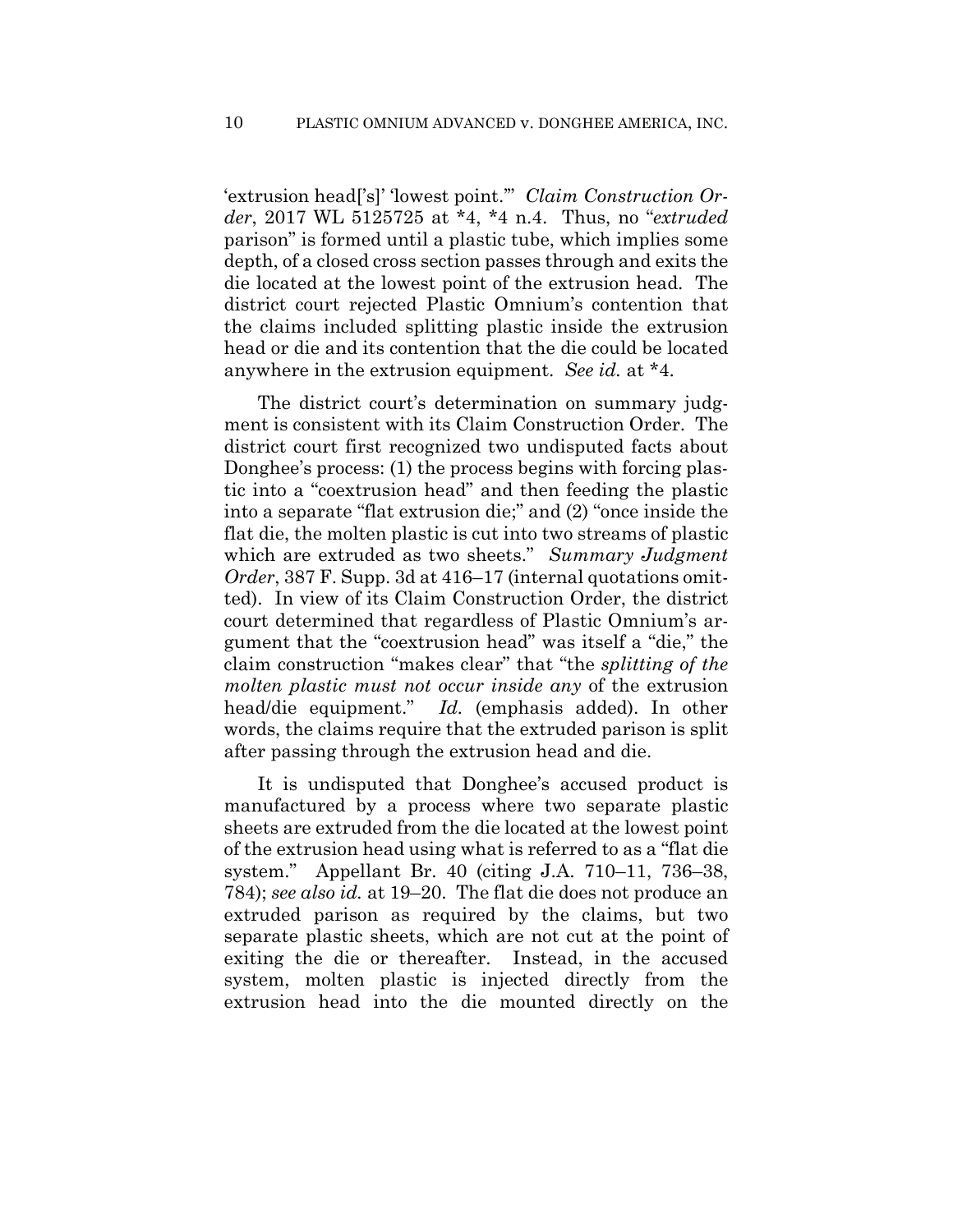'extrusion head['s]' 'lowest point.'" *Claim Construction Order*, 2017 WL 5125725 at \*4, \*4 n.4. Thus, no "*extruded* parison" is formed until a plastic tube, which implies some depth, of a closed cross section passes through and exits the die located at the lowest point of the extrusion head. The district court rejected Plastic Omnium's contention that the claims included splitting plastic inside the extrusion head or die and its contention that the die could be located anywhere in the extrusion equipment. *See id.* at \*4.

The district court's determination on summary judgment is consistent with its Claim Construction Order. The district court first recognized two undisputed facts about Donghee's process: (1) the process begins with forcing plastic into a "coextrusion head" and then feeding the plastic into a separate "flat extrusion die;" and (2) "once inside the flat die, the molten plastic is cut into two streams of plastic which are extruded as two sheets." *Summary Judgment Order*, 387 F. Supp. 3d at 416–17 (internal quotations omitted). In view of its Claim Construction Order, the district court determined that regardless of Plastic Omnium's argument that the "coextrusion head" was itself a "die," the claim construction "makes clear" that "the *splitting of the molten plastic must not occur inside any* of the extrusion head/die equipment." *Id.* (emphasis added). In other words, the claims require that the extruded parison is split after passing through the extrusion head and die.

It is undisputed that Donghee's accused product is manufactured by a process where two separate plastic sheets are extruded from the die located at the lowest point of the extrusion head using what is referred to as a "flat die system." Appellant Br. 40 (citing J.A. 710–11, 736–38, 784); *see also id.* at 19–20. The flat die does not produce an extruded parison as required by the claims, but two separate plastic sheets, which are not cut at the point of exiting the die or thereafter. Instead, in the accused system, molten plastic is injected directly from the extrusion head into the die mounted directly on the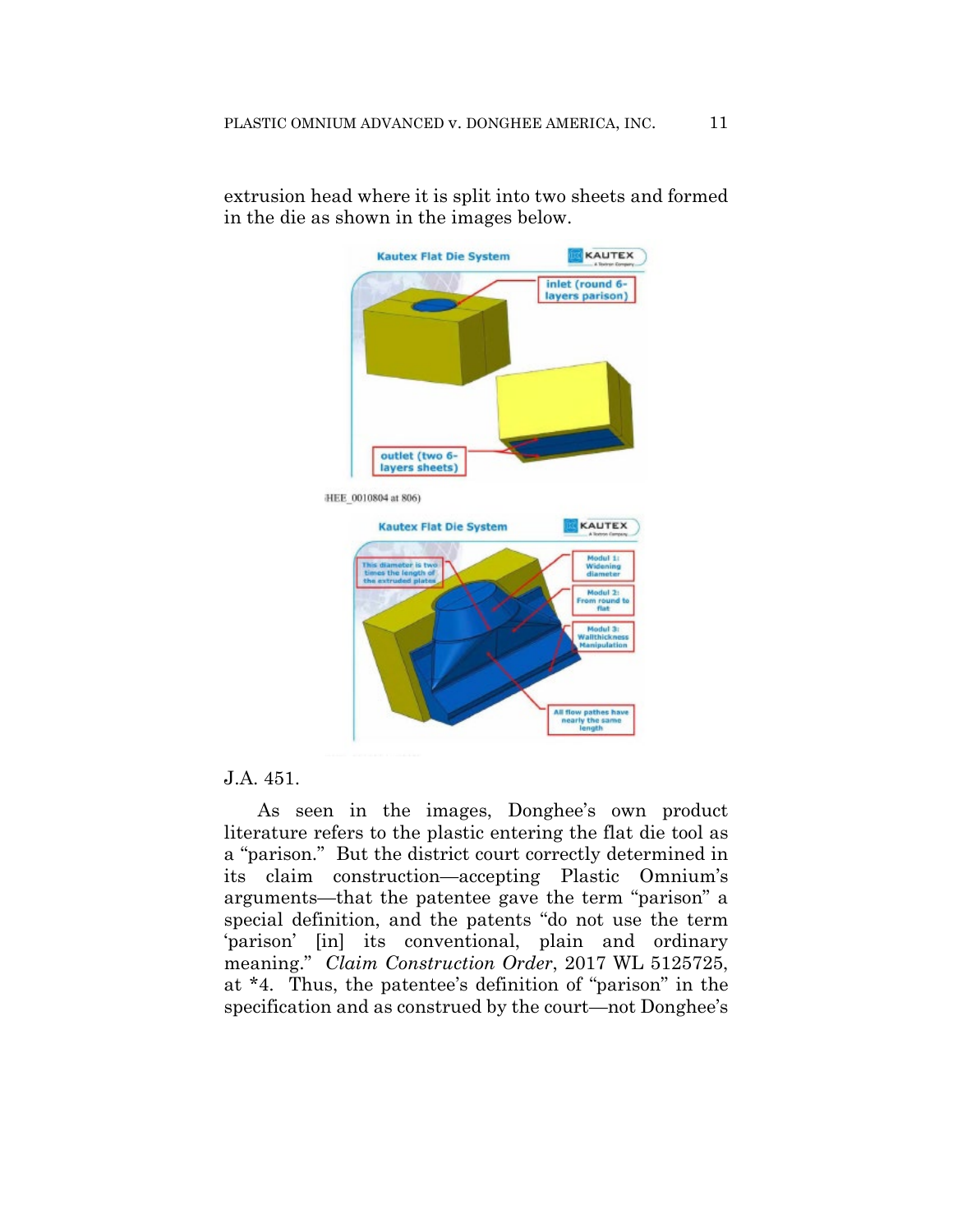

y the sa ne

extrusion head where it is split into two sheets and formed in the die as shown in the images below.

#### J.A. 451.

As seen in the images, Donghee's own product literature refers to the plastic entering the flat die tool as a "parison." But the district court correctly determined in its claim construction—accepting Plastic Omnium's arguments—that the patentee gave the term "parison" a special definition, and the patents "do not use the term 'parison' [in] its conventional, plain and ordinary meaning." *Claim Construction Order*, 2017 WL 5125725, at \*4. Thus, the patentee's definition of "parison" in the specification and as construed by the court—not Donghee's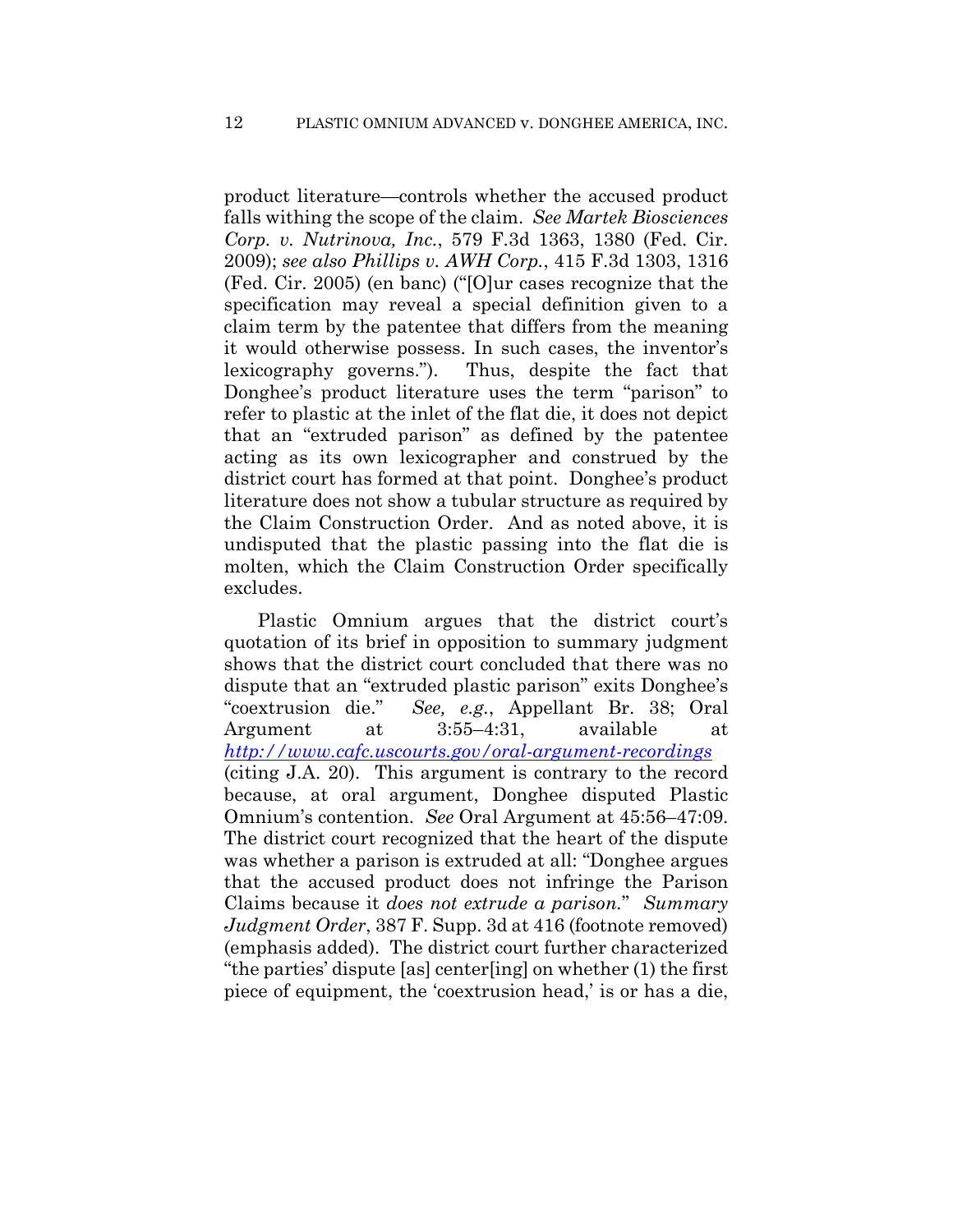product literature—controls whether the accused product falls withing the scope of the claim. *See Martek Biosciences Corp. v. Nutrinova, Inc.*, 579 F.3d 1363, 1380 (Fed. Cir. 2009); *see also Phillips v. AWH Corp.*, 415 F.3d 1303, 1316 (Fed. Cir. 2005) (en banc) ("[O]ur cases recognize that the specification may reveal a special definition given to a claim term by the patentee that differs from the meaning it would otherwise possess. In such cases, the inventor's lexicography governs."). Thus, despite the fact that Donghee's product literature uses the term "parison" to refer to plastic at the inlet of the flat die, it does not depict that an "extruded parison" as defined by the patentee acting as its own lexicographer and construed by the district court has formed at that point. Donghee's product literature does not show a tubular structure as required by the Claim Construction Order. And as noted above, it is undisputed that the plastic passing into the flat die is molten, which the Claim Construction Order specifically excludes.

Plastic Omnium argues that the district court's quotation of its brief in opposition to summary judgment shows that the district court concluded that there was no dispute that an "extruded plastic parison" exits Donghee's "coextrusion die." *See, e.g.*, Appellant Br. 38; Oral Argument at 3:55–4:31, available at *http://www.cafc.uscourts.gov/oral-argument-recordings* (citing J.A. 20). This argument is contrary to the record because, at oral argument, Donghee disputed Plastic Omnium's contention. *See* Oral Argument at 45:56–47:09. The district court recognized that the heart of the dispute was whether a parison is extruded at all: "Donghee argues that the accused product does not infringe the Parison Claims because it *does not extrude a parison.*" *Summary Judgment Order*, 387 F. Supp. 3d at 416 (footnote removed) (emphasis added). The district court further characterized "the parties' dispute [as] center[ing] on whether (1) the first piece of equipment, the 'coextrusion head,' is or has a die,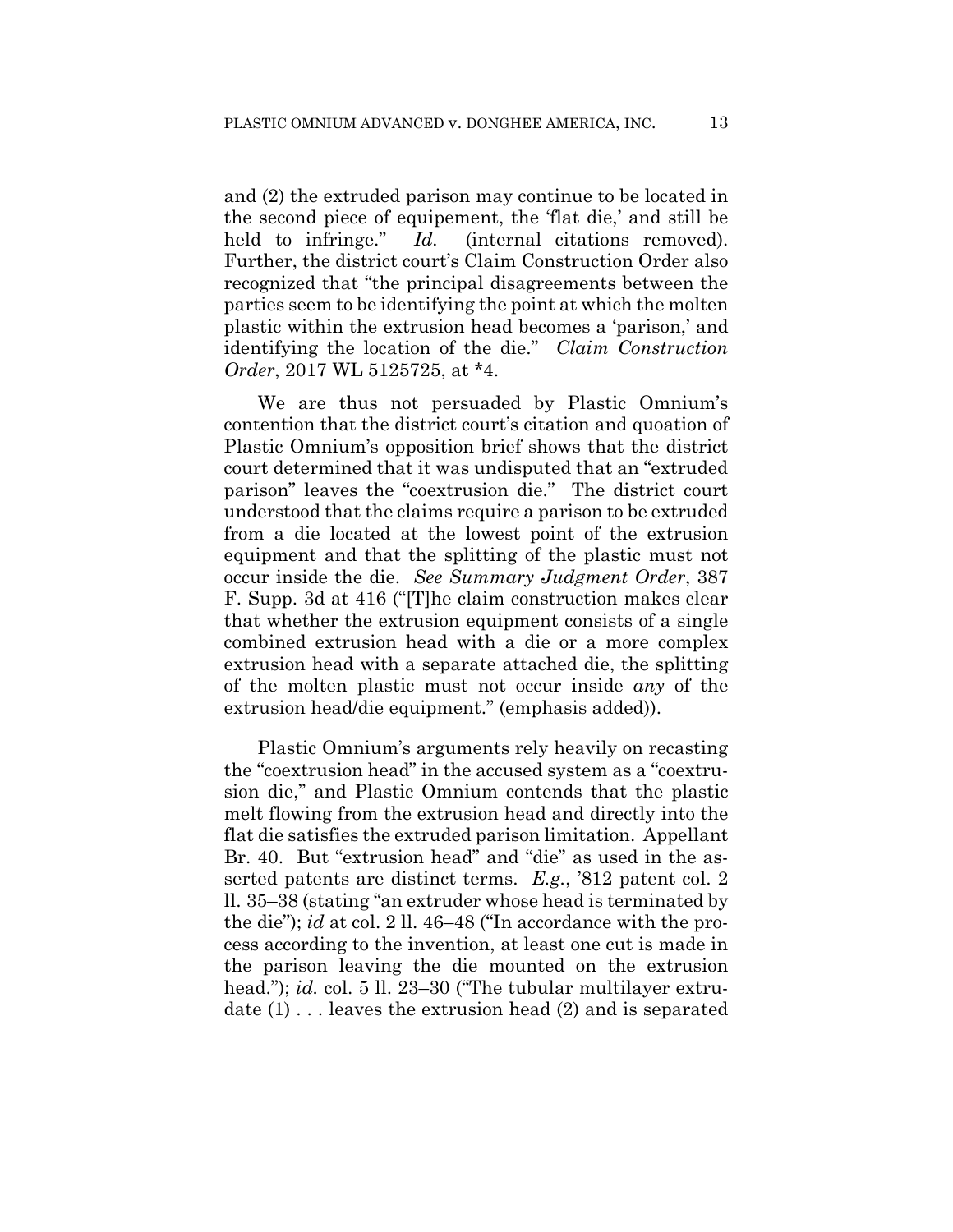and (2) the extruded parison may continue to be located in the second piece of equipement, the 'flat die,' and still be held to infringe." *Id.* (internal citations removed). Further, the district court's Claim Construction Order also recognized that "the principal disagreements between the parties seem to be identifying the point at which the molten plastic within the extrusion head becomes a 'parison,' and identifying the location of the die." *Claim Construction Order*, 2017 WL 5125725, at \*4.

We are thus not persuaded by Plastic Omnium's contention that the district court's citation and quoation of Plastic Omnium's opposition brief shows that the district court determined that it was undisputed that an "extruded parison" leaves the "coextrusion die." The district court understood that the claims require a parison to be extruded from a die located at the lowest point of the extrusion equipment and that the splitting of the plastic must not occur inside the die. *See Summary Judgment Order*, 387 F. Supp. 3d at 416 ("[T]he claim construction makes clear that whether the extrusion equipment consists of a single combined extrusion head with a die or a more complex extrusion head with a separate attached die, the splitting of the molten plastic must not occur inside *any* of the extrusion head/die equipment." (emphasis added)).

Plastic Omnium's arguments rely heavily on recasting the "coextrusion head" in the accused system as a "coextrusion die," and Plastic Omnium contends that the plastic melt flowing from the extrusion head and directly into the flat die satisfies the extruded parison limitation. Appellant Br. 40. But "extrusion head" and "die" as used in the asserted patents are distinct terms. *E.g.*, '812 patent col. 2 ll. 35–38 (stating "an extruder whose head is terminated by the die"); *id* at col. 2 ll. 46–48 ("In accordance with the process according to the invention, at least one cut is made in the parison leaving the die mounted on the extrusion head."); *id.* col. 5 ll. 23–30 ("The tubular multilayer extrudate (1) . . . leaves the extrusion head (2) and is separated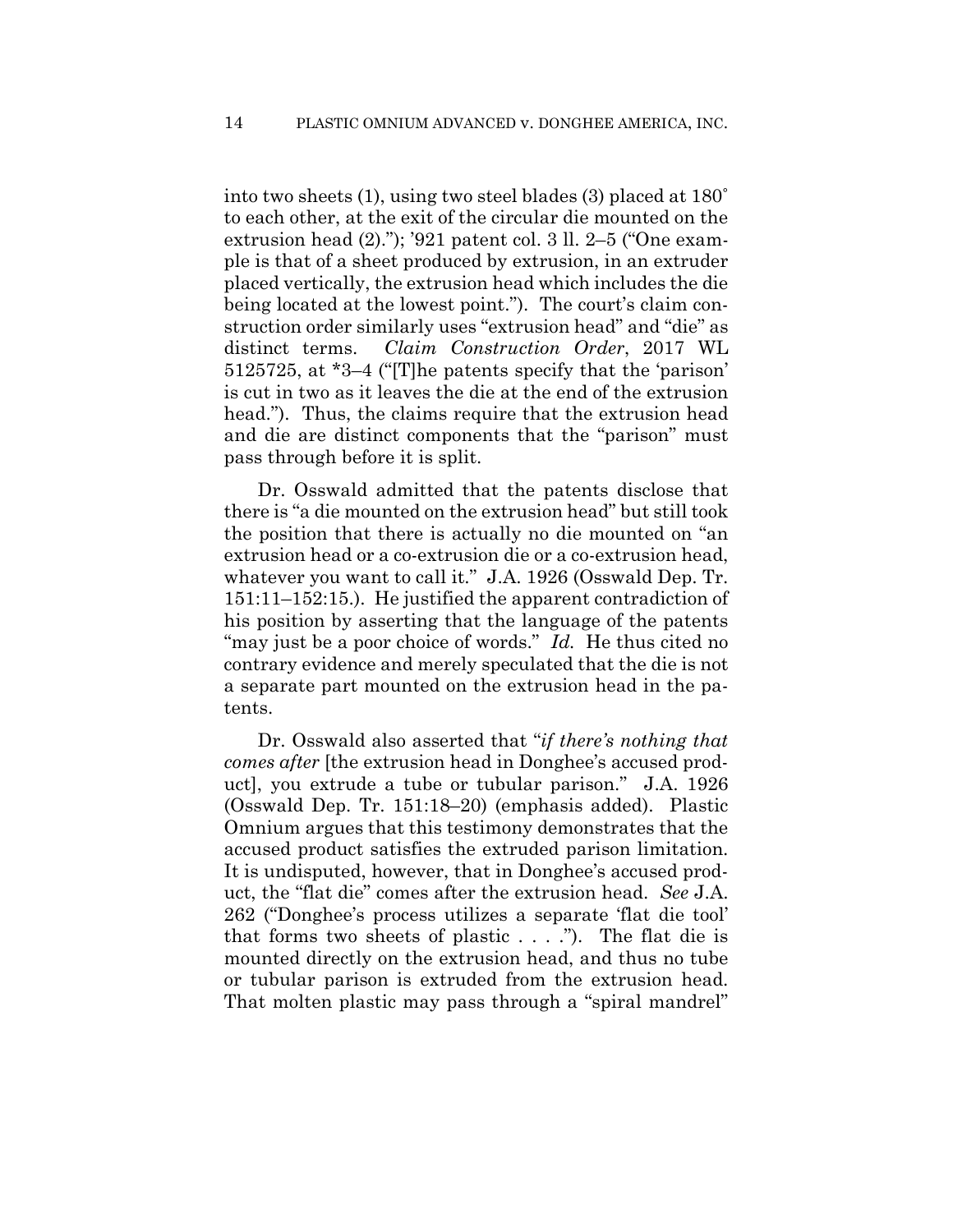into two sheets (1), using two steel blades (3) placed at 180˚ to each other, at the exit of the circular die mounted on the extrusion head (2)."); '921 patent col. 3 ll. 2–5 ("One example is that of a sheet produced by extrusion, in an extruder placed vertically, the extrusion head which includes the die being located at the lowest point."). The court's claim construction order similarly uses "extrusion head" and "die" as distinct terms. *Claim Construction Order*, 2017 WL 5125725, at \*3–4 ("[T]he patents specify that the 'parison' is cut in two as it leaves the die at the end of the extrusion head."). Thus, the claims require that the extrusion head and die are distinct components that the "parison" must pass through before it is split.

Dr. Osswald admitted that the patents disclose that there is "a die mounted on the extrusion head" but still took the position that there is actually no die mounted on "an extrusion head or a co-extrusion die or a co-extrusion head, whatever you want to call it." J.A. 1926 (Osswald Dep. Tr. 151:11–152:15.). He justified the apparent contradiction of his position by asserting that the language of the patents "may just be a poor choice of words." *Id.* He thus cited no contrary evidence and merely speculated that the die is not a separate part mounted on the extrusion head in the patents.

Dr. Osswald also asserted that "*if there's nothing that comes after* [the extrusion head in Donghee's accused product], you extrude a tube or tubular parison." J.A. 1926 (Osswald Dep. Tr. 151:18–20) (emphasis added). Plastic Omnium argues that this testimony demonstrates that the accused product satisfies the extruded parison limitation. It is undisputed, however, that in Donghee's accused product, the "flat die" comes after the extrusion head. *See* J.A. 262 ("Donghee's process utilizes a separate 'flat die tool' that forms two sheets of plastic  $\dots$ ."). The flat die is mounted directly on the extrusion head, and thus no tube or tubular parison is extruded from the extrusion head. That molten plastic may pass through a "spiral mandrel"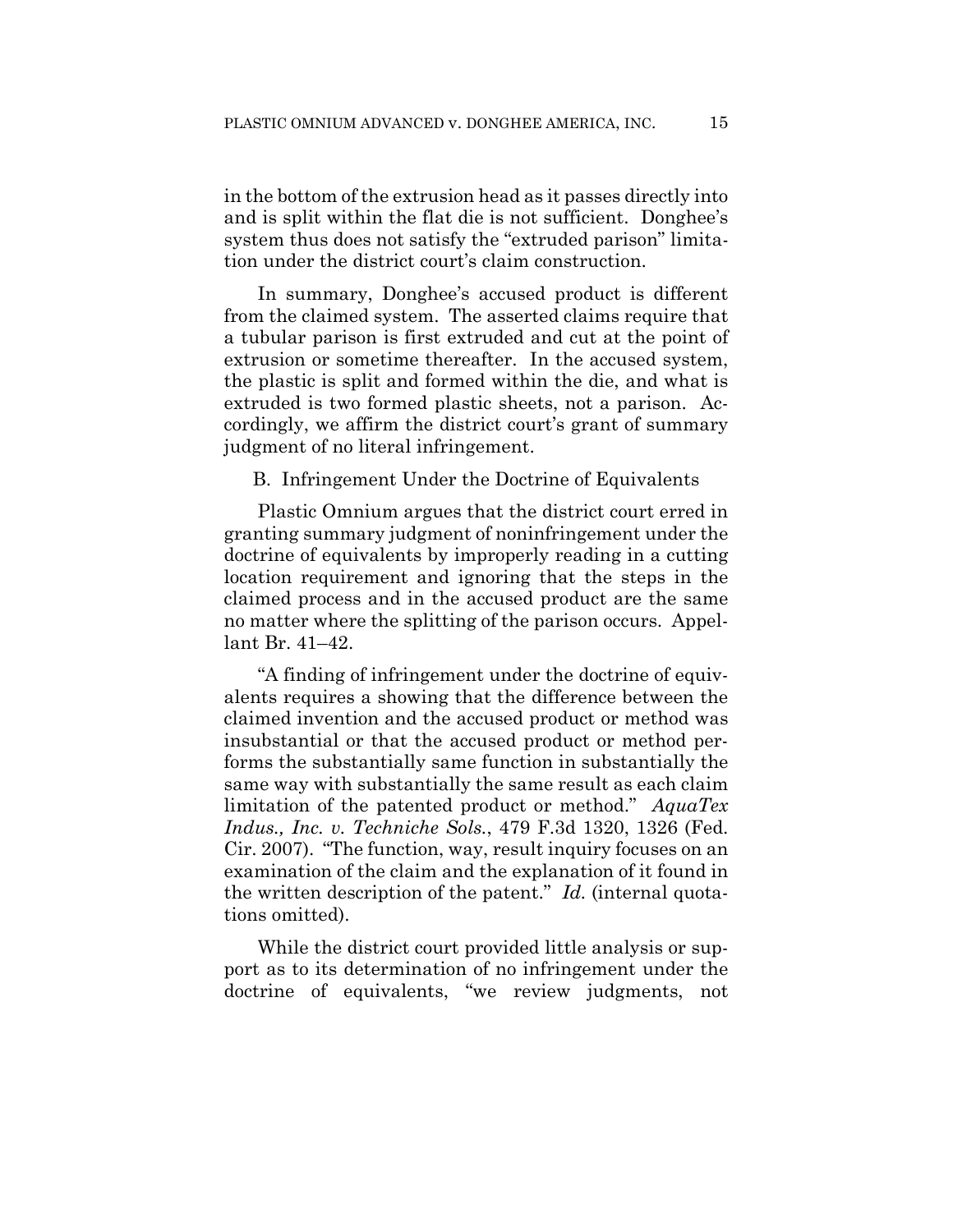in the bottom of the extrusion head as it passes directly into and is split within the flat die is not sufficient. Donghee's system thus does not satisfy the "extruded parison" limitation under the district court's claim construction.

In summary, Donghee's accused product is different from the claimed system. The asserted claims require that a tubular parison is first extruded and cut at the point of extrusion or sometime thereafter. In the accused system, the plastic is split and formed within the die, and what is extruded is two formed plastic sheets, not a parison. Accordingly, we affirm the district court's grant of summary judgment of no literal infringement.

B. Infringement Under the Doctrine of Equivalents

Plastic Omnium argues that the district court erred in granting summary judgment of noninfringement under the doctrine of equivalents by improperly reading in a cutting location requirement and ignoring that the steps in the claimed process and in the accused product are the same no matter where the splitting of the parison occurs. Appellant Br. 41–42.

"A finding of infringement under the doctrine of equivalents requires a showing that the difference between the claimed invention and the accused product or method was insubstantial or that the accused product or method performs the substantially same function in substantially the same way with substantially the same result as each claim limitation of the patented product or method." *AquaTex Indus., Inc. v. Techniche Sols.*, 479 F.3d 1320, 1326 (Fed. Cir. 2007). "The function, way, result inquiry focuses on an examination of the claim and the explanation of it found in the written description of the patent." *Id.* (internal quotations omitted).

While the district court provided little analysis or support as to its determination of no infringement under the doctrine of equivalents, "we review judgments, not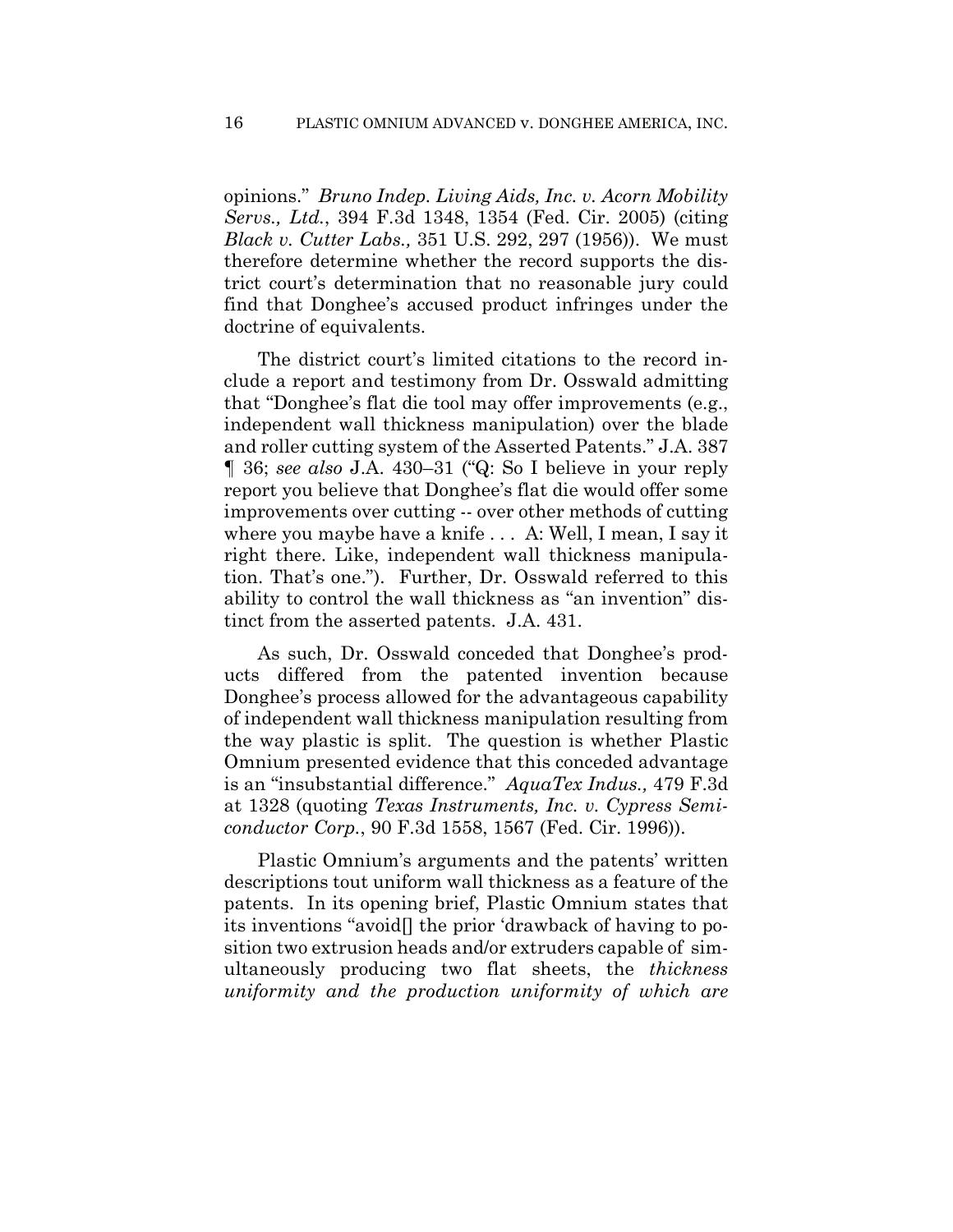opinions." *Bruno Indep. Living Aids, Inc. v. Acorn Mobility Servs., Ltd.*, 394 F.3d 1348, 1354 (Fed. Cir. 2005) (citing *Black v. Cutter Labs.,* 351 U.S. 292, 297 (1956)). We must therefore determine whether the record supports the district court's determination that no reasonable jury could find that Donghee's accused product infringes under the doctrine of equivalents.

The district court's limited citations to the record include a report and testimony from Dr. Osswald admitting that "Donghee's flat die tool may offer improvements (e.g., independent wall thickness manipulation) over the blade and roller cutting system of the Asserted Patents." J.A. 387 ¶ 36; *see also* J.A. 430–31 ("Q: So I believe in your reply report you believe that Donghee's flat die would offer some improvements over cutting -- over other methods of cutting where you maybe have a knife . . . A: Well, I mean, I say it right there. Like, independent wall thickness manipulation. That's one."). Further, Dr. Osswald referred to this ability to control the wall thickness as "an invention" distinct from the asserted patents. J.A. 431.

As such, Dr. Osswald conceded that Donghee's products differed from the patented invention because Donghee's process allowed for the advantageous capability of independent wall thickness manipulation resulting from the way plastic is split. The question is whether Plastic Omnium presented evidence that this conceded advantage is an "insubstantial difference." *AquaTex Indus.,* 479 F.3d at 1328 (quoting *Texas Instruments, Inc. v. Cypress Semiconductor Corp.*, 90 F.3d 1558, 1567 (Fed. Cir. 1996)).

Plastic Omnium's arguments and the patents' written descriptions tout uniform wall thickness as a feature of the patents. In its opening brief, Plastic Omnium states that its inventions "avoid[] the prior 'drawback of having to position two extrusion heads and/or extruders capable of simultaneously producing two flat sheets, the *thickness uniformity and the production uniformity of which are*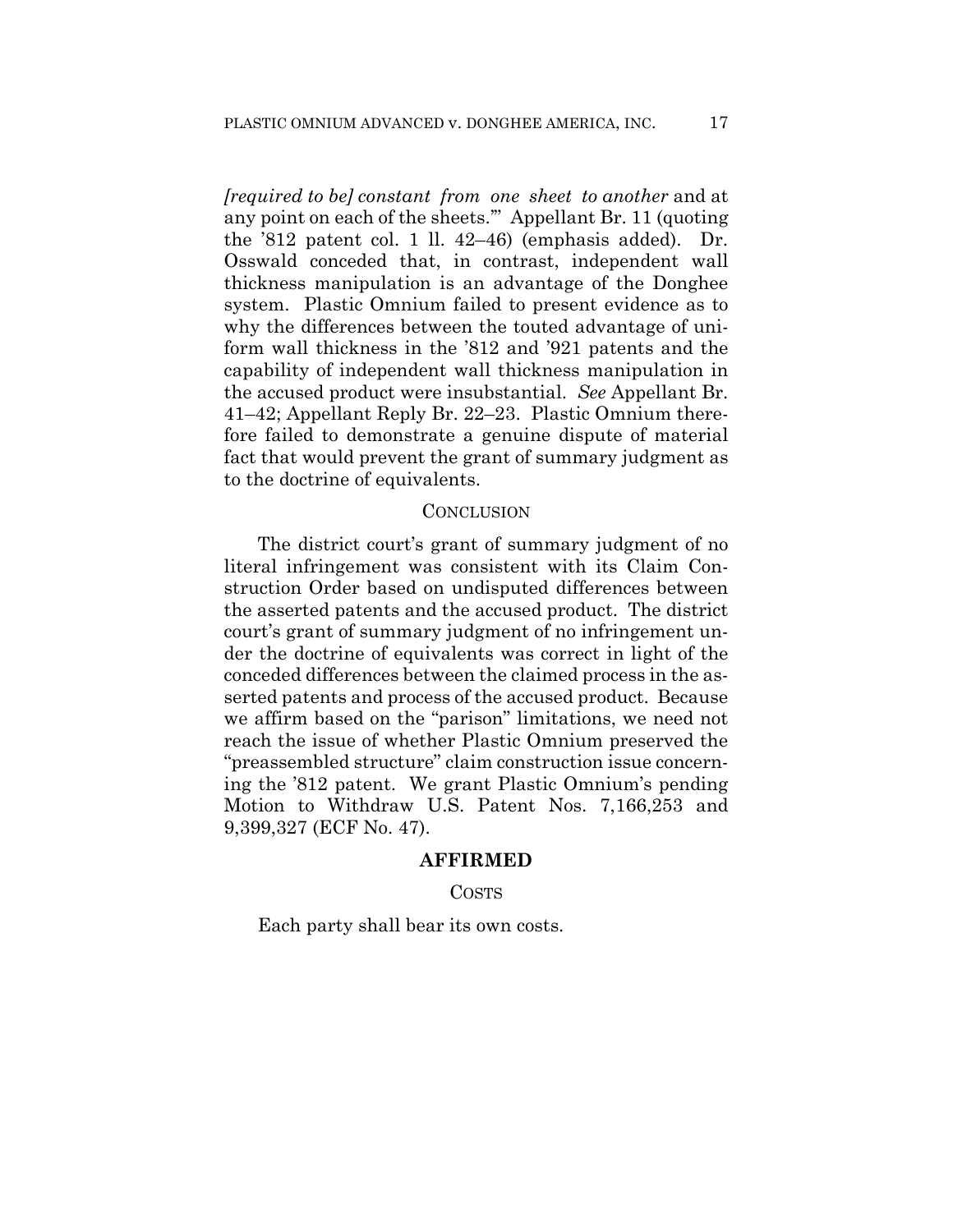*[required to be] constant from one sheet to another* and at any point on each of the sheets.'" Appellant Br. 11 (quoting the '812 patent col. 1 ll. 42–46) (emphasis added). Dr. Osswald conceded that, in contrast, independent wall thickness manipulation is an advantage of the Donghee system. Plastic Omnium failed to present evidence as to why the differences between the touted advantage of uniform wall thickness in the '812 and '921 patents and the capability of independent wall thickness manipulation in the accused product were insubstantial. *See* Appellant Br. 41–42; Appellant Reply Br. 22–23. Plastic Omnium therefore failed to demonstrate a genuine dispute of material fact that would prevent the grant of summary judgment as to the doctrine of equivalents.

#### **CONCLUSION**

The district court's grant of summary judgment of no literal infringement was consistent with its Claim Construction Order based on undisputed differences between the asserted patents and the accused product. The district court's grant of summary judgment of no infringement under the doctrine of equivalents was correct in light of the conceded differences between the claimed process in the asserted patents and process of the accused product. Because we affirm based on the "parison" limitations, we need not reach the issue of whether Plastic Omnium preserved the "preassembled structure" claim construction issue concerning the '812 patent. We grant Plastic Omnium's pending Motion to Withdraw U.S. Patent Nos. 7,166,253 and 9,399,327 (ECF No. 47).

#### **AFFIRMED**

#### COSTS

Each party shall bear its own costs.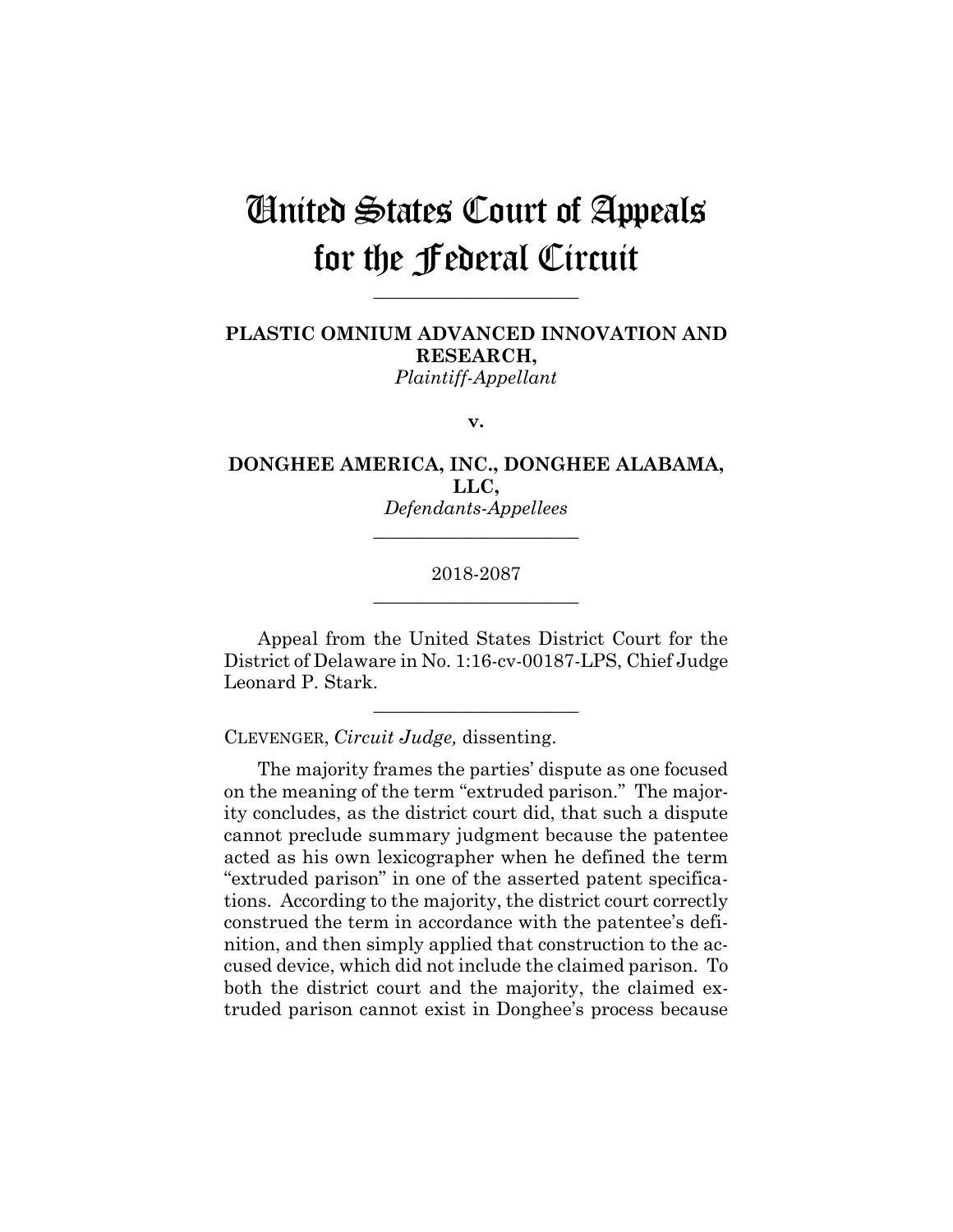# United States Court of Appeals for the Federal Circuit

**\_\_\_\_\_\_\_\_\_\_\_\_\_\_\_\_\_\_\_\_\_\_**

**PLASTIC OMNIUM ADVANCED INNOVATION AND RESEARCH,** *Plaintiff-Appellant*

**v.**

**DONGHEE AMERICA, INC., DONGHEE ALABAMA, LLC,** *Defendants-Appellees*

## 2018-2087 **\_\_\_\_\_\_\_\_\_\_\_\_\_\_\_\_\_\_\_\_\_\_**

**\_\_\_\_\_\_\_\_\_\_\_\_\_\_\_\_\_\_\_\_\_\_**

Appeal from the United States District Court for the District of Delaware in No. 1:16-cv-00187-LPS, Chief Judge Leonard P. Stark.

**\_\_\_\_\_\_\_\_\_\_\_\_\_\_\_\_\_\_\_\_\_\_**

CLEVENGER, *Circuit Judge,* dissenting.

The majority frames the parties' dispute as one focused on the meaning of the term "extruded parison." The majority concludes, as the district court did, that such a dispute cannot preclude summary judgment because the patentee acted as his own lexicographer when he defined the term "extruded parison" in one of the asserted patent specifications. According to the majority, the district court correctly construed the term in accordance with the patentee's definition, and then simply applied that construction to the accused device, which did not include the claimed parison. To both the district court and the majority, the claimed extruded parison cannot exist in Donghee's process because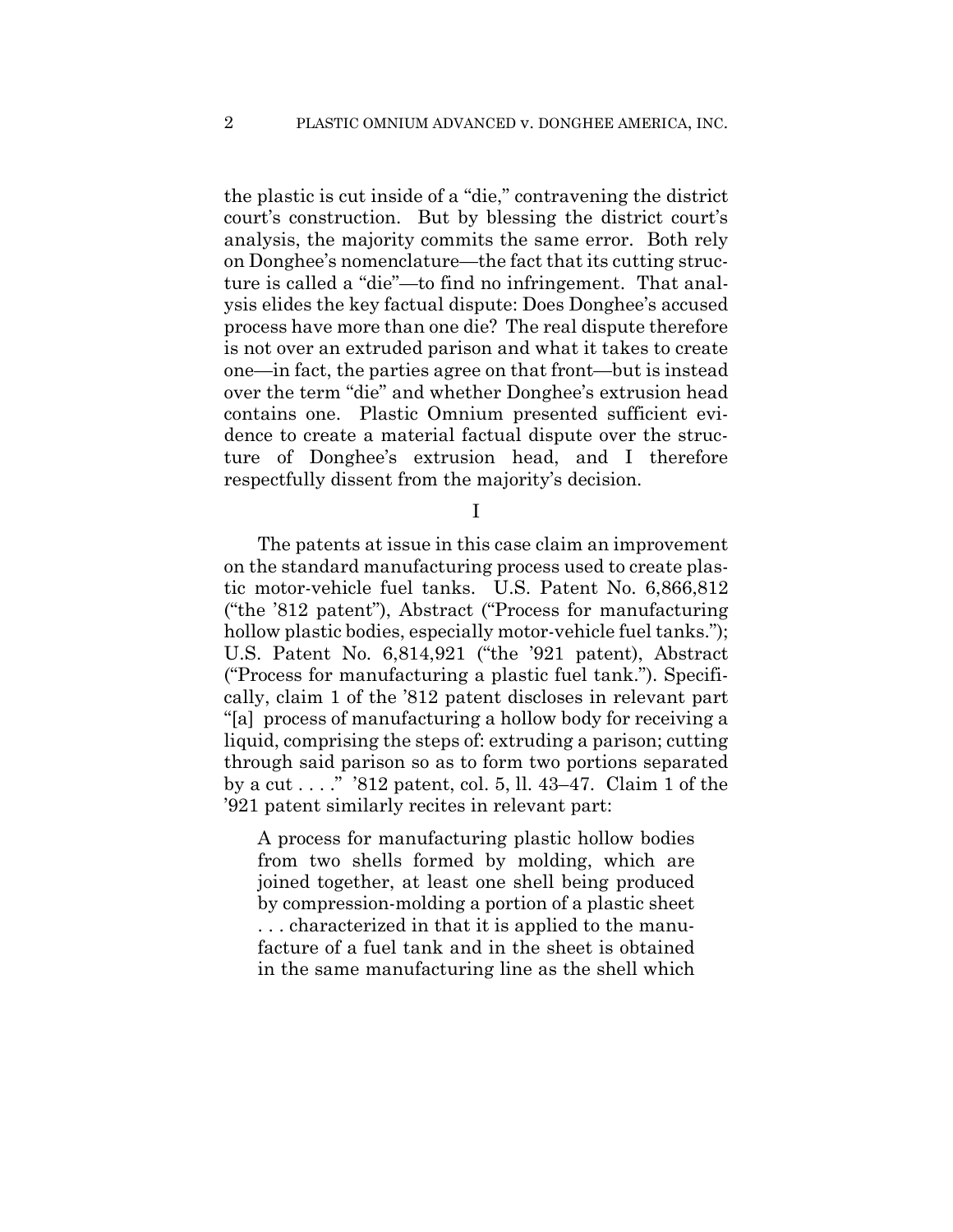the plastic is cut inside of a "die," contravening the district court's construction. But by blessing the district court's analysis, the majority commits the same error. Both rely on Donghee's nomenclature—the fact that its cutting structure is called a "die"—to find no infringement. That analysis elides the key factual dispute: Does Donghee's accused process have more than one die? The real dispute therefore is not over an extruded parison and what it takes to create one—in fact, the parties agree on that front—but is instead over the term "die" and whether Donghee's extrusion head contains one. Plastic Omnium presented sufficient evidence to create a material factual dispute over the structure of Donghee's extrusion head, and I therefore respectfully dissent from the majority's decision.

I

The patents at issue in this case claim an improvement on the standard manufacturing process used to create plastic motor-vehicle fuel tanks. U.S. Patent No. 6,866,812 ("the '812 patent"), Abstract ("Process for manufacturing hollow plastic bodies, especially motor-vehicle fuel tanks."); U.S. Patent No. 6,814,921 ("the '921 patent), Abstract ("Process for manufacturing a plastic fuel tank."). Specifically, claim 1 of the '812 patent discloses in relevant part "[a] process of manufacturing a hollow body for receiving a liquid, comprising the steps of: extruding a parison; cutting through said parison so as to form two portions separated by a cut . . . ." '812 patent, col. 5, ll. 43–47. Claim 1 of the '921 patent similarly recites in relevant part:

A process for manufacturing plastic hollow bodies from two shells formed by molding, which are joined together, at least one shell being produced by compression-molding a portion of a plastic sheet . . . characterized in that it is applied to the manufacture of a fuel tank and in the sheet is obtained in the same manufacturing line as the shell which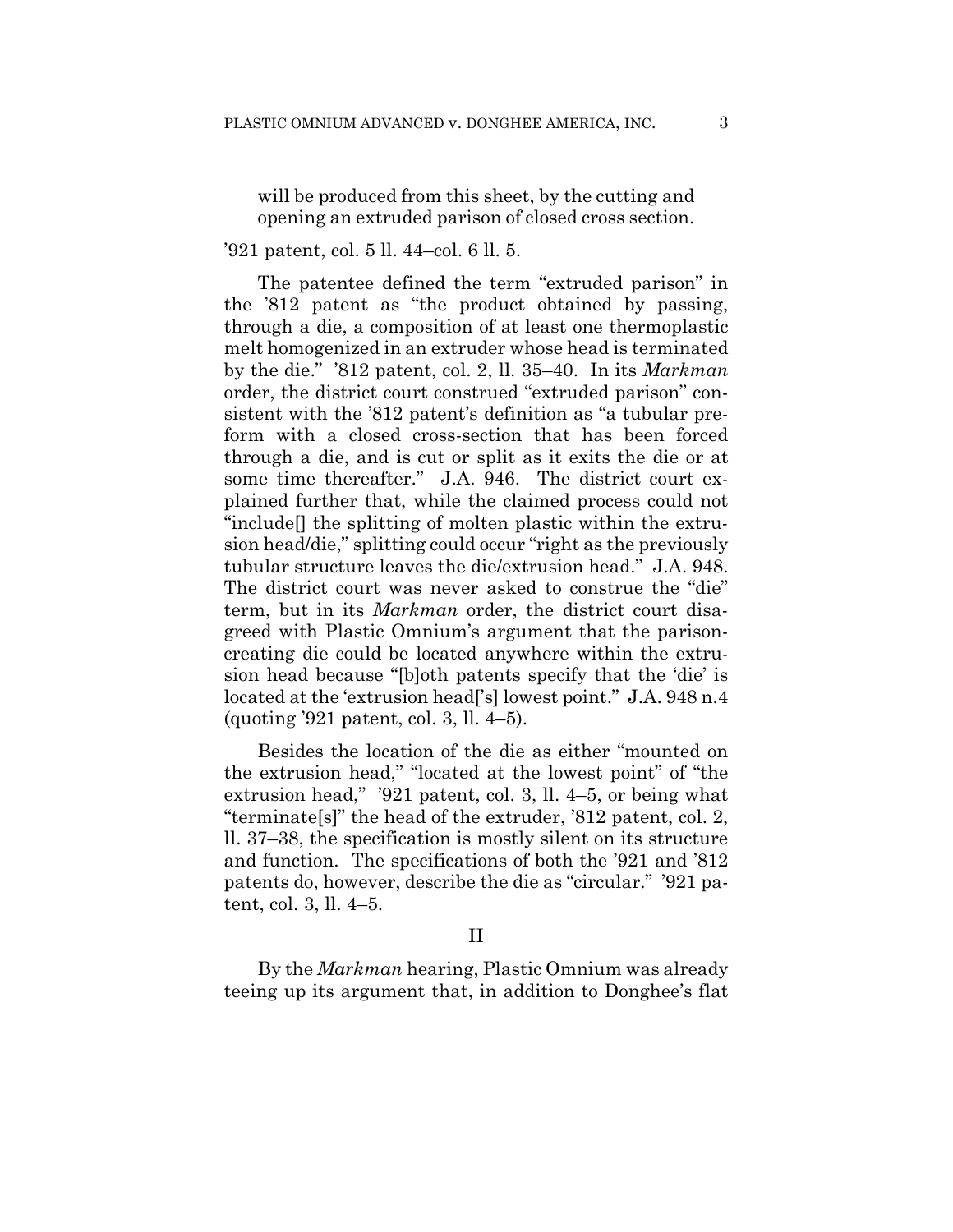will be produced from this sheet, by the cutting and opening an extruded parison of closed cross section.

## '921 patent, col. 5 ll. 44–col. 6 ll. 5.

The patentee defined the term "extruded parison" in the '812 patent as "the product obtained by passing, through a die, a composition of at least one thermoplastic melt homogenized in an extruder whose head is terminated by the die." '812 patent, col. 2, ll. 35–40. In its *Markman*  order, the district court construed "extruded parison" consistent with the '812 patent's definition as "a tubular preform with a closed cross-section that has been forced through a die, and is cut or split as it exits the die or at some time thereafter." J.A. 946. The district court explained further that, while the claimed process could not "include[] the splitting of molten plastic within the extrusion head/die," splitting could occur "right as the previously tubular structure leaves the die/extrusion head." J.A. 948. The district court was never asked to construe the "die" term, but in its *Markman* order, the district court disagreed with Plastic Omnium's argument that the parisoncreating die could be located anywhere within the extrusion head because "[b]oth patents specify that the 'die' is located at the 'extrusion head<sup>['</sup>s] lowest point." J.A. 948 n.4 (quoting '921 patent, col. 3, ll. 4–5).

Besides the location of the die as either "mounted on the extrusion head," "located at the lowest point" of "the extrusion head," '921 patent, col. 3, ll. 4–5, or being what "terminate[s]" the head of the extruder, '812 patent, col. 2, ll. 37–38, the specification is mostly silent on its structure and function. The specifications of both the '921 and '812 patents do, however, describe the die as "circular." '921 patent, col. 3, ll. 4–5.

## II

By the *Markman* hearing, Plastic Omnium was already teeing up its argument that, in addition to Donghee's flat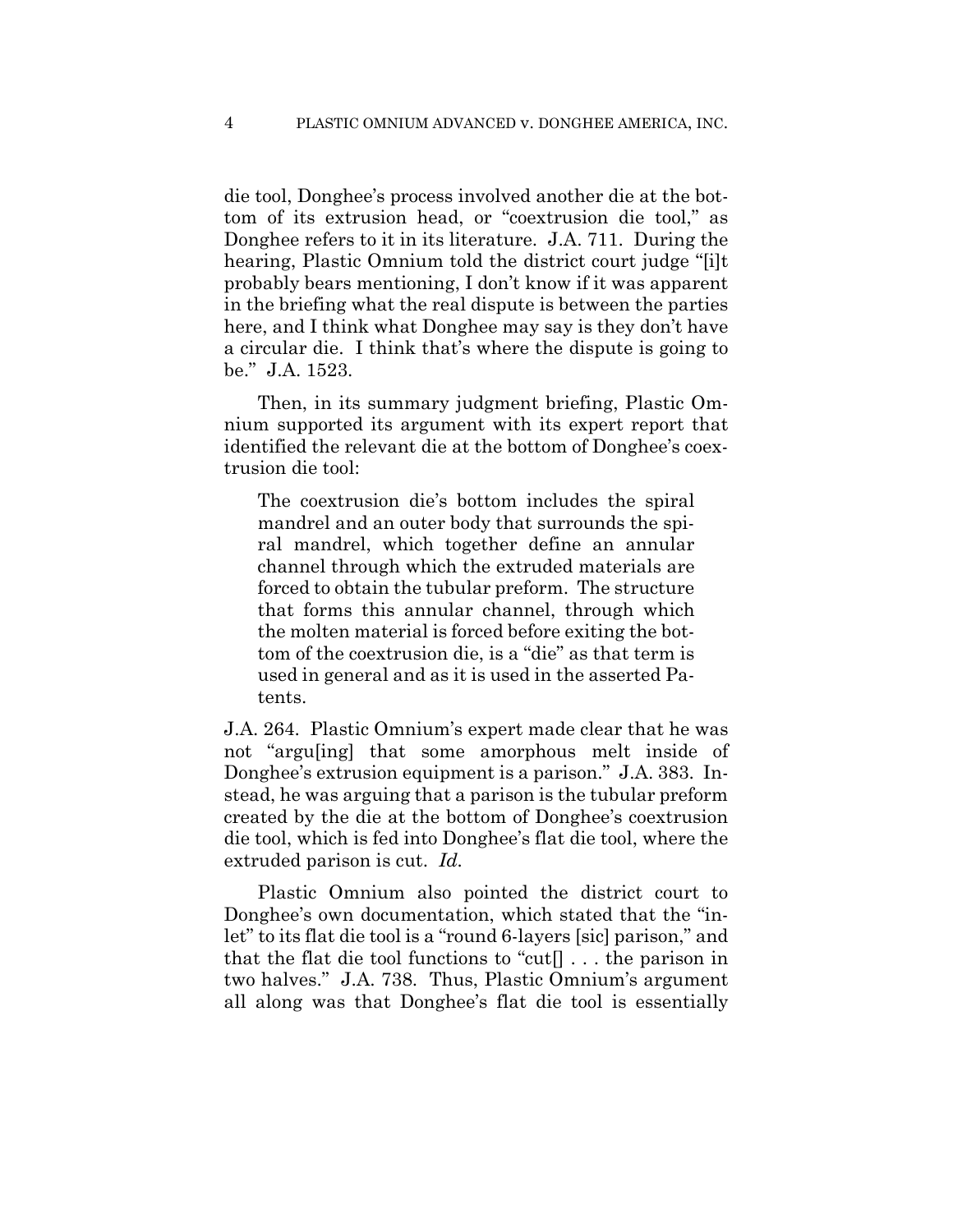die tool, Donghee's process involved another die at the bottom of its extrusion head, or "coextrusion die tool," as Donghee refers to it in its literature. J.A. 711. During the hearing, Plastic Omnium told the district court judge "[i]t probably bears mentioning, I don't know if it was apparent in the briefing what the real dispute is between the parties here, and I think what Donghee may say is they don't have a circular die. I think that's where the dispute is going to be." J.A. 1523.

Then, in its summary judgment briefing, Plastic Omnium supported its argument with its expert report that identified the relevant die at the bottom of Donghee's coextrusion die tool:

The coextrusion die's bottom includes the spiral mandrel and an outer body that surrounds the spiral mandrel, which together define an annular channel through which the extruded materials are forced to obtain the tubular preform. The structure that forms this annular channel, through which the molten material is forced before exiting the bottom of the coextrusion die, is a "die" as that term is used in general and as it is used in the asserted Patents.

J.A. 264. Plastic Omnium's expert made clear that he was not "argu[ing] that some amorphous melt inside of Donghee's extrusion equipment is a parison." J.A. 383. Instead, he was arguing that a parison is the tubular preform created by the die at the bottom of Donghee's coextrusion die tool, which is fed into Donghee's flat die tool, where the extruded parison is cut. *Id.*

Plastic Omnium also pointed the district court to Donghee's own documentation, which stated that the "inlet" to its flat die tool is a "round 6-layers [sic] parison," and that the flat die tool functions to "cut[] . . . the parison in two halves." J.A. 738. Thus, Plastic Omnium's argument all along was that Donghee's flat die tool is essentially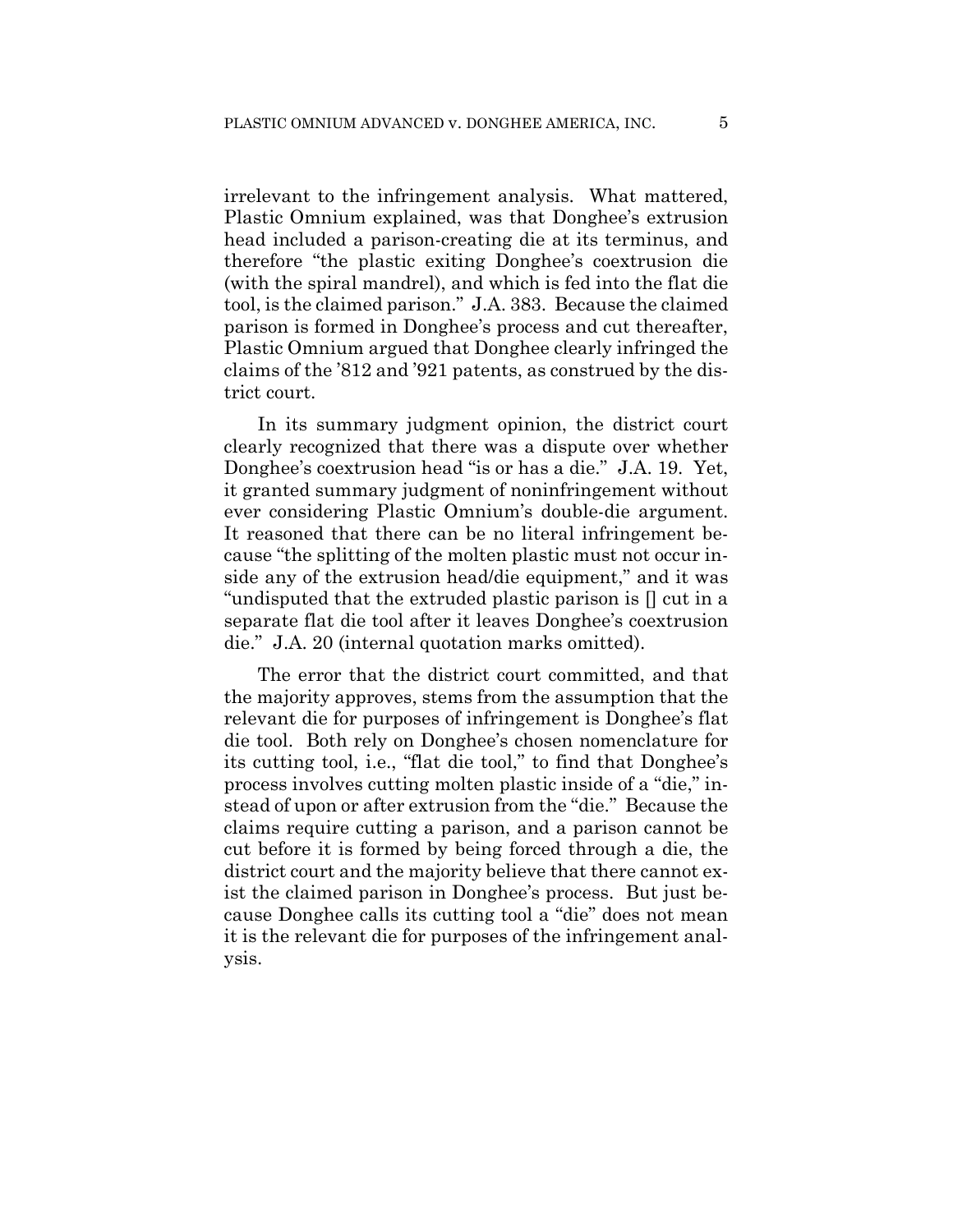irrelevant to the infringement analysis. What mattered, Plastic Omnium explained, was that Donghee's extrusion head included a parison-creating die at its terminus, and therefore "the plastic exiting Donghee's coextrusion die (with the spiral mandrel), and which is fed into the flat die tool, is the claimed parison." J.A. 383. Because the claimed parison is formed in Donghee's process and cut thereafter, Plastic Omnium argued that Donghee clearly infringed the claims of the '812 and '921 patents, as construed by the district court.

In its summary judgment opinion, the district court clearly recognized that there was a dispute over whether Donghee's coextrusion head "is or has a die." J.A. 19. Yet, it granted summary judgment of noninfringement without ever considering Plastic Omnium's double-die argument. It reasoned that there can be no literal infringement because "the splitting of the molten plastic must not occur inside any of the extrusion head/die equipment," and it was "undisputed that the extruded plastic parison is [] cut in a separate flat die tool after it leaves Donghee's coextrusion die." J.A. 20 (internal quotation marks omitted).

The error that the district court committed, and that the majority approves, stems from the assumption that the relevant die for purposes of infringement is Donghee's flat die tool. Both rely on Donghee's chosen nomenclature for its cutting tool, i.e., "flat die tool," to find that Donghee's process involves cutting molten plastic inside of a "die," instead of upon or after extrusion from the "die." Because the claims require cutting a parison, and a parison cannot be cut before it is formed by being forced through a die, the district court and the majority believe that there cannot exist the claimed parison in Donghee's process. But just because Donghee calls its cutting tool a "die" does not mean it is the relevant die for purposes of the infringement analysis.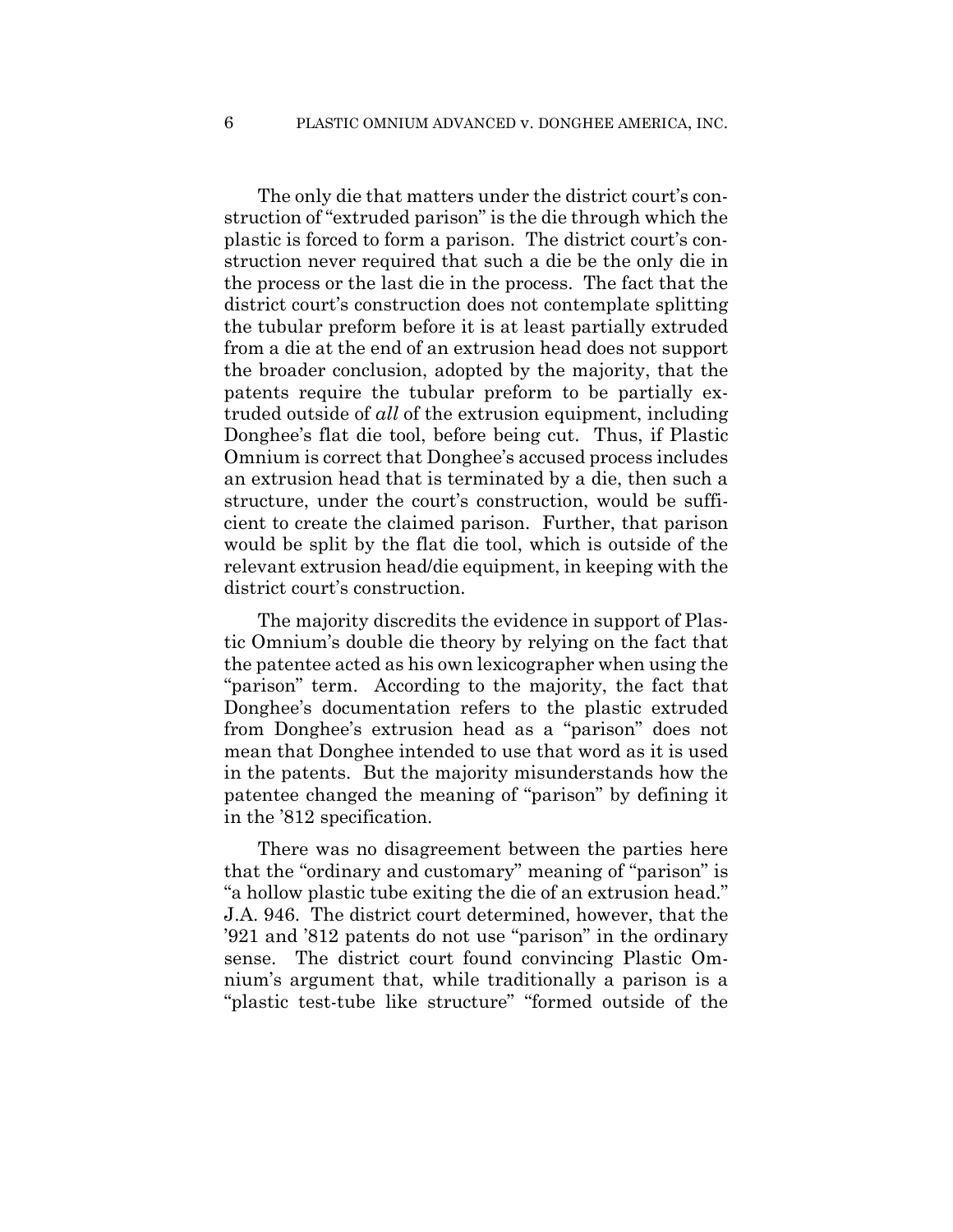The only die that matters under the district court's construction of "extruded parison" is the die through which the plastic is forced to form a parison. The district court's construction never required that such a die be the only die in the process or the last die in the process. The fact that the district court's construction does not contemplate splitting the tubular preform before it is at least partially extruded from a die at the end of an extrusion head does not support the broader conclusion, adopted by the majority, that the patents require the tubular preform to be partially extruded outside of *all* of the extrusion equipment, including Donghee's flat die tool, before being cut. Thus, if Plastic Omnium is correct that Donghee's accused process includes an extrusion head that is terminated by a die, then such a structure, under the court's construction, would be sufficient to create the claimed parison. Further, that parison would be split by the flat die tool, which is outside of the relevant extrusion head/die equipment, in keeping with the district court's construction.

The majority discredits the evidence in support of Plastic Omnium's double die theory by relying on the fact that the patentee acted as his own lexicographer when using the "parison" term. According to the majority, the fact that Donghee's documentation refers to the plastic extruded from Donghee's extrusion head as a "parison" does not mean that Donghee intended to use that word as it is used in the patents. But the majority misunderstands how the patentee changed the meaning of "parison" by defining it in the '812 specification.

There was no disagreement between the parties here that the "ordinary and customary" meaning of "parison" is "a hollow plastic tube exiting the die of an extrusion head." J.A. 946. The district court determined, however, that the '921 and '812 patents do not use "parison" in the ordinary sense. The district court found convincing Plastic Omnium's argument that, while traditionally a parison is a "plastic test-tube like structure" "formed outside of the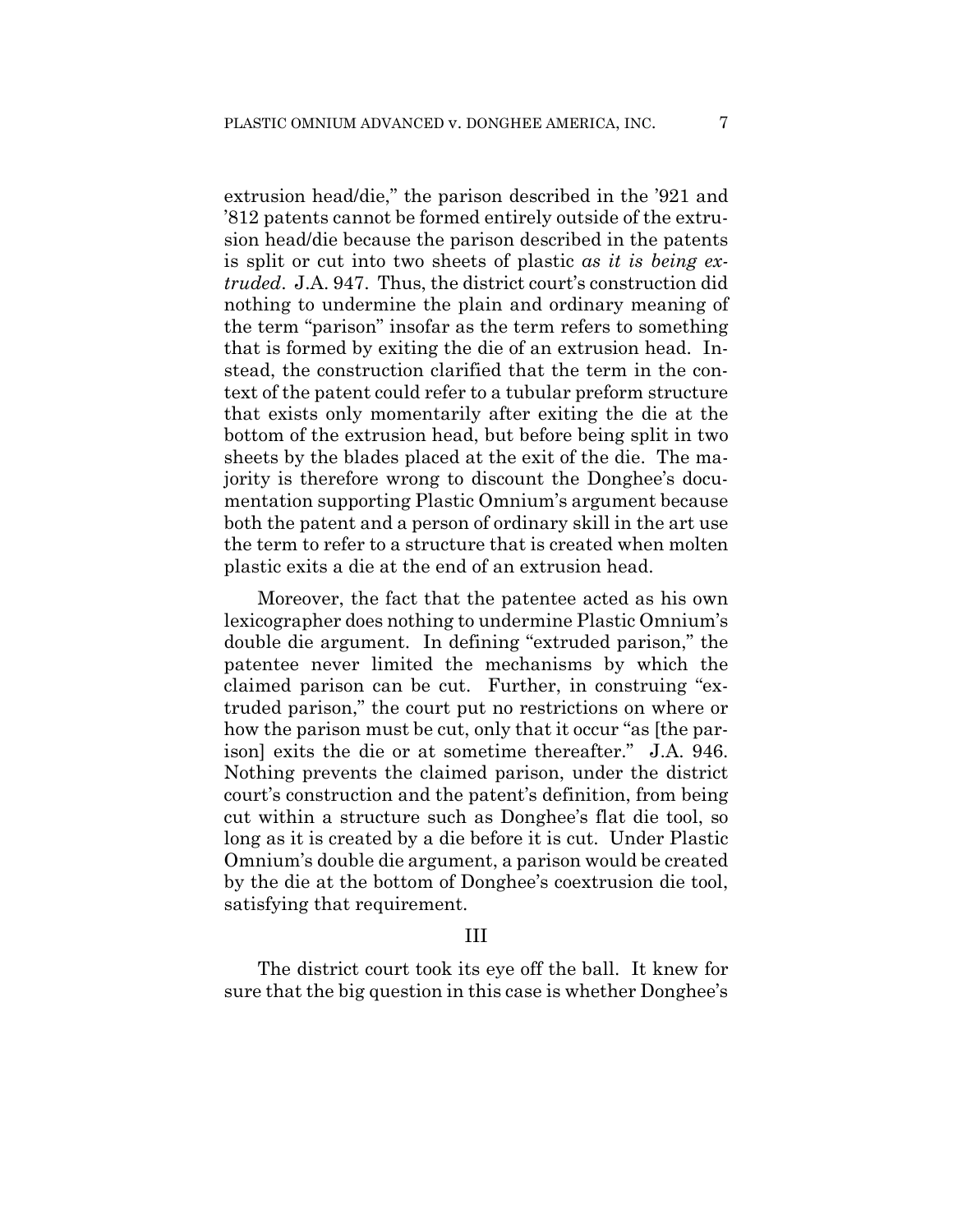extrusion head/die," the parison described in the '921 and '812 patents cannot be formed entirely outside of the extrusion head/die because the parison described in the patents is split or cut into two sheets of plastic *as it is being extruded*. J.A. 947. Thus, the district court's construction did nothing to undermine the plain and ordinary meaning of the term "parison" insofar as the term refers to something that is formed by exiting the die of an extrusion head. Instead, the construction clarified that the term in the context of the patent could refer to a tubular preform structure that exists only momentarily after exiting the die at the bottom of the extrusion head, but before being split in two sheets by the blades placed at the exit of the die. The majority is therefore wrong to discount the Donghee's documentation supporting Plastic Omnium's argument because both the patent and a person of ordinary skill in the art use the term to refer to a structure that is created when molten plastic exits a die at the end of an extrusion head.

Moreover, the fact that the patentee acted as his own lexicographer does nothing to undermine Plastic Omnium's double die argument. In defining "extruded parison," the patentee never limited the mechanisms by which the claimed parison can be cut. Further, in construing "extruded parison," the court put no restrictions on where or how the parison must be cut, only that it occur "as [the parison] exits the die or at sometime thereafter." J.A. 946. Nothing prevents the claimed parison, under the district court's construction and the patent's definition, from being cut within a structure such as Donghee's flat die tool, so long as it is created by a die before it is cut. Under Plastic Omnium's double die argument, a parison would be created by the die at the bottom of Donghee's coextrusion die tool, satisfying that requirement.

#### III

The district court took its eye off the ball. It knew for sure that the big question in this case is whether Donghee's